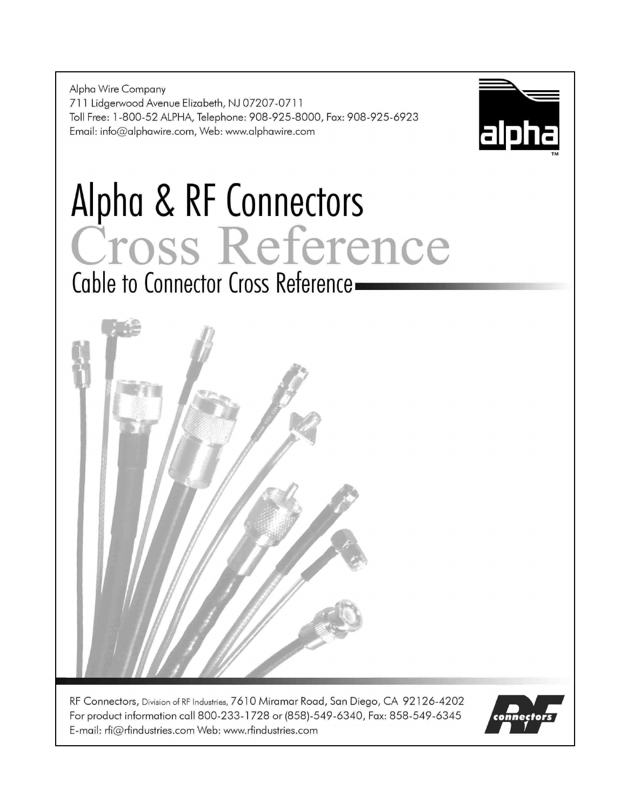Alpha Wire Company 711 Lidgerwood Avenue Elizabeth, NJ 07207-0711 Toll Free: 1-800-52 ALPHA, Telephone: 908-925-8000, Fax: 908-925-6923 Email: info@alphawire.com, Web: www.alphawire.com



# Alpha & RF Connectors Cross Reference Cable to Connector Cross Reference-



RF Connectors, Division of RF Industries, 7610 Miramar Road, San Diego, CA 92126-4202 For product information call 800-233-1728 or (858)-549-6340, Fax: 858-549-6345 E-mail: rfi@rfindustries.com Web: www.rfindustries.com

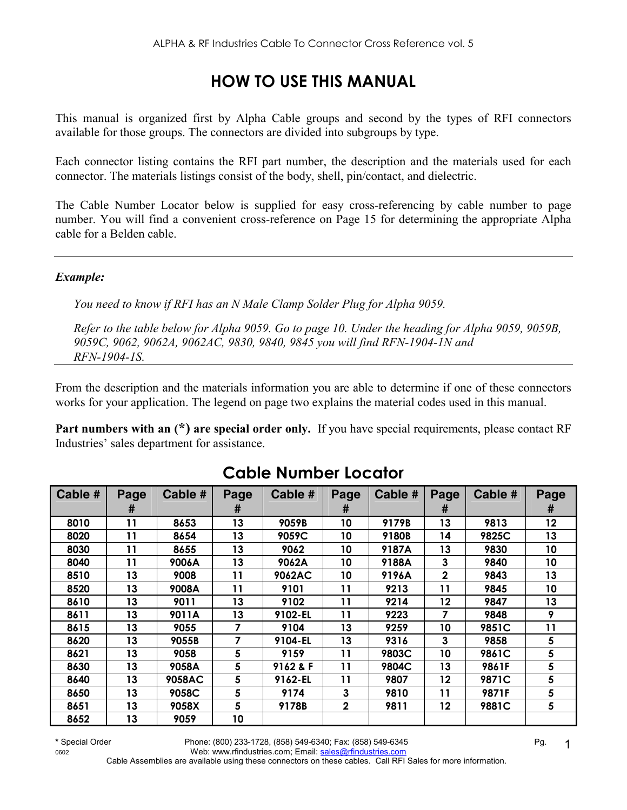## **HOW TO USE THIS MANUAL**

This manual is organized first by Alpha Cable groups and second by the types of RFI connectors available for those groups. The connectors are divided into subgroups by type.

Each connector listing contains the RFI part number, the description and the materials used for each connector. The materials listings consist of the body, shell, pin/contact, and dielectric.

The Cable Number Locator below is supplied for easy cross-referencing by cable number to page number. You will find a convenient cross-reference on Page 15 for determining the appropriate Alpha cable for a Belden cable.

#### *Example:*

*You need to know if RFI has an N Male Clamp Solder Plug for Alpha 9059.* 

*Refer to the table below for Alpha 9059. Go to page 10. Under the heading for Alpha 9059, 9059B, 9059C, 9062, 9062A, 9062AC, 9830, 9840, 9845 you will find RFN-1904-1N and RFN-1904-1S.* 

From the description and the materials information you are able to determine if one of these connectors works for your application. The legend on page two explains the material codes used in this manual.

**Part numbers with an (\*) are special order only.** If you have special requirements, please contact RF Industries' sales department for assistance.

| Cable # | Page | Cable # | Page | Cable #  | Page         | Cable # | Page         | Cable # | Page |
|---------|------|---------|------|----------|--------------|---------|--------------|---------|------|
|         | #    |         | #    |          | #            |         | #            |         | #    |
| 8010    | 11   | 8653    | 13   | 9059B    | 10           | 9179B   | 13           | 9813    | 12   |
| 8020    | 11   | 8654    | 13   | 9059C    | 10           | 9180B   | 14           | 9825C   | 13   |
| 8030    | 11   | 8655    | 13   | 9062     | 10           | 9187A   | 13           | 9830    | 10   |
| 8040    | 11   | 9006A   | 13   | 9062A    | 10           | 9188A   | 3            | 9840    | 10   |
| 8510    | 13   | 9008    | 11   | 9062AC   | 10           | 9196A   | $\mathbf{2}$ | 9843    | 13   |
| 8520    | 13   | 9008A   | 11   | 9101     | 11           | 9213    | 11           | 9845    | 10   |
| 8610    | 13   | 9011    | 13   | 9102     | 11           | 9214    | 12           | 9847    | 13   |
| 8611    | 13   | 9011A   | 13   | 9102-EL  | 11           | 9223    | 7            | 9848    | 9    |
| 8615    | 13   | 9055    | 7    | 9104     | 13           | 9259    | 10           | 9851C   | 11   |
| 8620    | 13   | 9055B   | 7    | 9104-EL  | 13           | 9316    | 3            | 9858    | 5    |
| 8621    | 13   | 9058    | 5    | 9159     | 11           | 9803C   | 10           | 9861C   | 5    |
| 8630    | 13   | 9058A   | 5    | 9162 & F | 11           | 9804C   | 13           | 9861F   | 5    |
| 8640    | 13   | 9058AC  | 5    | 9162-EL  | 11           | 9807    | 12           | 9871C   | 5    |
| 8650    | 13   | 9058C   | 5    | 9174     | 3            | 9810    | 11           | 9871F   | 5    |
| 8651    | 13   | 9058X   | 5    | 9178B    | $\mathbf{2}$ | 9811    | 12           | 9881C   | 5    |
| 8652    | 13   | 9059    | 10   |          |              |         |              |         |      |

# **Cable Number Locator**

1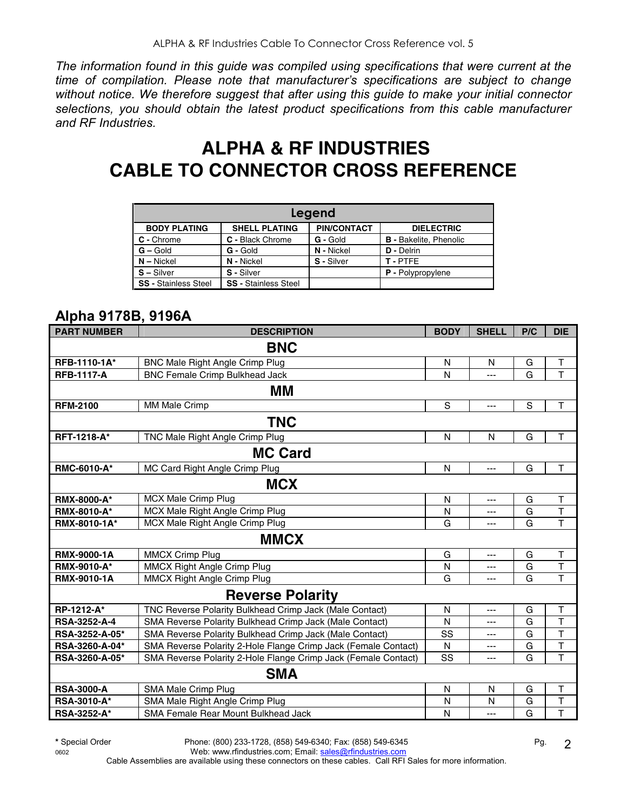*The information found in this guide was compiled using specifications that were current at the time of compilation. Please note that manufacturer's specifications are subject to change without notice. We therefore suggest that after using this guide to make your initial connector selections, you should obtain the latest product specifications from this cable manufacturer and RF Industries.* 

# **ALPHA & RF INDUSTRIES CABLE TO CONNECTOR CROSS REFERENCE**

| Legend                      |                             |                    |                               |  |  |  |  |  |
|-----------------------------|-----------------------------|--------------------|-------------------------------|--|--|--|--|--|
| <b>BODY PLATING</b>         | <b>SHELL PLATING</b>        | <b>PIN/CONTACT</b> | <b>DIELECTRIC</b>             |  |  |  |  |  |
| C - Chrome                  | C - Black Chrome            | G - Gold           | <b>B</b> - Bakelite, Phenolic |  |  |  |  |  |
| $G -$ Gold                  | G - Gold                    | N - Nickel         | D - Delrin                    |  |  |  |  |  |
| $N -$ Nickel                | N - Nickel                  | S - Silver         | T-PTFF                        |  |  |  |  |  |
| $S - Silver$                | S - Silver                  |                    | <b>P</b> - Polypropylene      |  |  |  |  |  |
| <b>SS - Stainless Steel</b> | <b>SS - Stainless Steel</b> |                    |                               |  |  |  |  |  |

## **Alpha 9178B, 9196A**

| <b>PART NUMBER</b> | <b>DESCRIPTION</b>                                             | <b>BODY</b> | <b>SHELL</b>   | P/C            | <b>DIE</b>              |
|--------------------|----------------------------------------------------------------|-------------|----------------|----------------|-------------------------|
|                    | <b>BNC</b>                                                     |             |                |                |                         |
| RFB-1110-1A*       | <b>BNC Male Right Angle Crimp Plug</b>                         | N           | N              | G              | Τ                       |
| <b>RFB-1117-A</b>  | <b>BNC Female Crimp Bulkhead Jack</b>                          | N           | ---            | G              | T                       |
|                    | MМ                                                             |             |                |                |                         |
| <b>RFM-2100</b>    | MM Male Crimp                                                  | S           | $\overline{a}$ | S              | T                       |
|                    | <b>TNC</b>                                                     |             |                |                |                         |
| RFT-1218-A*        | TNC Male Right Angle Crimp Plug                                | N           | N              | G              | T                       |
|                    | <b>MC Card</b>                                                 |             |                |                |                         |
| RMC-6010-A*        | MC Card Right Angle Crimp Plug                                 | N           | ---            | G              | T                       |
|                    | <b>MCX</b>                                                     |             |                |                |                         |
| <b>RMX-8000-A*</b> | MCX Male Crimp Plug                                            | N           | ---            | G              | T                       |
| <b>RMX-8010-A*</b> | MCX Male Right Angle Crimp Plug                                | N           | ---            | G              | $\overline{\mathsf{T}}$ |
| RMX-8010-1A*       | MCX Male Right Angle Crimp Plug                                | G           | ---            | G              | $\overline{1}$          |
|                    | <b>MMCX</b>                                                    |             |                |                |                         |
| <b>RMX-9000-1A</b> | <b>MMCX Crimp Plug</b>                                         | G           | ---            | G              | $\top$                  |
| <b>RMX-9010-A*</b> | MMCX Right Angle Crimp Plug                                    | N           | ---            | $\overline{G}$ | $\overline{\mathsf{T}}$ |
| <b>RMX-9010-1A</b> | MMCX Right Angle Crimp Plug                                    | G           | ---            | G              | T                       |
|                    | <b>Reverse Polarity</b>                                        |             |                |                |                         |
| RP-1212-A*         | TNC Reverse Polarity Bulkhead Crimp Jack (Male Contact)        | N           | ---            | G              | T                       |
| RSA-3252-A-4       | SMA Reverse Polarity Bulkhead Crimp Jack (Male Contact)        | N           | ---            | G              | T                       |
| RSA-3252-A-05*     | SMA Reverse Polarity Bulkhead Crimp Jack (Male Contact)        | SS          | ---            | G              | $\mathsf{T}$            |
| RSA-3260-A-04*     | SMA Reverse Polarity 2-Hole Flange Crimp Jack (Female Contact) | N           | ---            | G              | $\top$                  |
| RSA-3260-A-05*     | SMA Reverse Polarity 2-Hole Flange Crimp Jack (Female Contact) | SS          | ---            | G              | T                       |
|                    | <b>SMA</b>                                                     |             |                |                |                         |
| <b>RSA-3000-A</b>  | SMA Male Crimp Plug                                            | N           | N              | G              | $\top$                  |
| RSA-3010-A*        | SMA Male Right Angle Crimp Plug                                | N           | N              | G              | T                       |
| <b>RSA-3252-A*</b> | SMA Female Rear Mount Bulkhead Jack                            | N           | ---            | G              | T                       |

**\*** Special Order Phone: (800) 233-1728, (858) 549-6340; Fax: (858) 549-6345 Pg.

0602 Web: www.rfindustries.com; Email: sales@rfindustries.com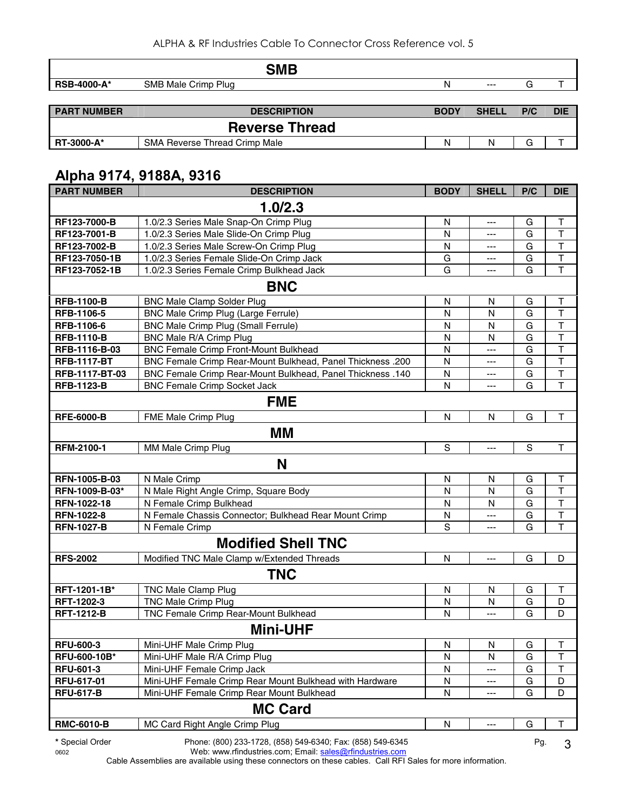|                    | <b>SMB</b>                    |             |              |     |            |
|--------------------|-------------------------------|-------------|--------------|-----|------------|
| <b>RSB-4000-A*</b> | SMB Male Crimp Plug           | N           | $---$        | G   |            |
|                    |                               |             |              |     |            |
| <b>PART NUMBER</b> | <b>DESCRIPTION</b>            | <b>BODY</b> | <b>SHELL</b> | P/C | <b>DIE</b> |
|                    | <b>Reverse Thread</b>         |             |              |     |            |
| RT-3000-A*         | SMA Reverse Thread Crimp Male | N           | N            | G   |            |
|                    | Alpha 9174, 9188A, 9316       |             |              |     |            |

| <b>PART NUMBER</b> | <b>DESCRIPTION</b>                                         | <b>BODY</b>             | <b>SHELL</b>   | P/C         | <b>DIE</b>              |
|--------------------|------------------------------------------------------------|-------------------------|----------------|-------------|-------------------------|
|                    | 1.0/2.3                                                    |                         |                |             |                         |
| RF123-7000-B       | 1.0/2.3 Series Male Snap-On Crimp Plug                     | N                       | ---            | G           | Τ                       |
| RF123-7001-B       | 1.0/2.3 Series Male Slide-On Crimp Plug                    | N                       | $---$          | G           | $\mathsf{T}$            |
| RF123-7002-B       | 1.0/2.3 Series Male Screw-On Crimp Plug                    | N                       | $---$          | G           | T                       |
| RF123-7050-1B      | 1.0/2.3 Series Female Slide-On Crimp Jack                  | G                       | $---$          | G           | $\mathsf{T}$            |
| RF123-7052-1B      | 1.0/2.3 Series Female Crimp Bulkhead Jack                  | G                       | $---$          | G           | $\mathsf{T}$            |
|                    | <b>BNC</b>                                                 |                         |                |             |                         |
| <b>RFB-1100-B</b>  | <b>BNC Male Clamp Solder Plug</b>                          | $\overline{\mathsf{N}}$ | N              | G           | $\top$                  |
| RFB-1106-5         | BNC Male Crimp Plug (Large Ferrule)                        | N                       | N              | G           | $\top$                  |
| RFB-1106-6         | <b>BNC Male Crimp Plug (Small Ferrule)</b>                 | N                       | N              | G           | $\overline{\mathsf{T}}$ |
| <b>RFB-1110-B</b>  | BNC Male R/A Crimp Plug                                    | N                       | N              | G           | $\overline{\mathsf{T}}$ |
| RFB-1116-B-03      | <b>BNC Female Crimp Front-Mount Bulkhead</b>               | N                       | ---            | G           | $\top$                  |
| <b>RFB-1117-BT</b> | BNC Female Crimp Rear-Mount Bulkhead, Panel Thickness .200 | N                       | ---            | G           | $\mathsf T$             |
| RFB-1117-BT-03     | BNC Female Crimp Rear-Mount Bulkhead, Panel Thickness .140 | N                       | ---            | G           | $\top$                  |
| <b>RFB-1123-B</b>  | <b>BNC Female Crimp Socket Jack</b>                        | N                       | $- - -$        | G           | $\mathsf{T}$            |
|                    | <b>FME</b>                                                 |                         |                |             |                         |
| <b>RFE-6000-B</b>  | FME Male Crimp Plug                                        | N                       | N              | G           | T                       |
|                    | MМ                                                         |                         |                |             |                         |
| RFM-2100-1         | MM Male Crimp Plug                                         | S                       | $\overline{a}$ | $\mathbf S$ | T                       |
|                    | N                                                          |                         |                |             |                         |
| RFN-1005-B-03      | N Male Crimp                                               | N                       | N              | G           | Τ                       |
| RFN-1009-B-03*     | N Male Right Angle Crimp, Square Body                      | N                       | N              | G           | $\top$                  |
| RFN-1022-18        | N Female Crimp Bulkhead                                    | N                       | N              | G           | $\overline{\mathsf{T}}$ |
| <b>RFN-1022-8</b>  | N Female Chassis Connector; Bulkhead Rear Mount Crimp      | N                       | ---            | G           | $\mathsf T$             |
| <b>RFN-1027-B</b>  | N Female Crimp                                             | S                       | ---            | G           | $\mathsf{T}$            |
|                    | <b>Modified Shell TNC</b>                                  |                         |                |             |                         |
| <b>RFS-2002</b>    | Modified TNC Male Clamp w/Extended Threads                 | N                       | $---$          | G           | D                       |
|                    | <b>TNC</b>                                                 |                         |                |             |                         |
| RFT-1201-1B*       | <b>TNC Male Clamp Plug</b>                                 | N                       | N              | G           | Τ                       |
| RFT-1202-3         | <b>TNC Male Crimp Plug</b>                                 | N                       | N              | G           | D                       |
| <b>RFT-1212-B</b>  | TNC Female Crimp Rear-Mount Bulkhead                       | N                       | $---$          | G           | D                       |
|                    | <b>Mini-UHF</b>                                            |                         |                |             |                         |
| <b>RFU-600-3</b>   | Mini-UHF Male Crimp Plug                                   | ${\sf N}$               | ${\sf N}$      | G           | $\top$                  |
| RFU-600-10B*       | Mini-UHF Male R/A Crimp Plug                               | N                       | N              | G           | T                       |
| RFU-601-3          | Mini-UHF Female Crimp Jack                                 | N                       | ---            | G           | T                       |
| RFU-617-01         | Mini-UHF Female Crimp Rear Mount Bulkhead with Hardware    | N                       | ---            | G           | D                       |
| <b>RFU-617-B</b>   | Mini-UHF Female Crimp Rear Mount Bulkhead                  | N                       | ---            | G           | D                       |
|                    | <b>MC Card</b>                                             |                         |                |             |                         |
| <b>RMC-6010-B</b>  | MC Card Right Angle Crimp Plug                             | $\mathsf{N}$            |                | G           | $\mathsf T$             |
| * Special Order    | Phone: (800) 233-1728, (858) 549-6340; Fax: (858) 549-6345 |                         |                | Pg.         | 3                       |

Pg. 3

0602 Web: www.rfindustries.com; Email: <u>sales@rfindustries.com</u>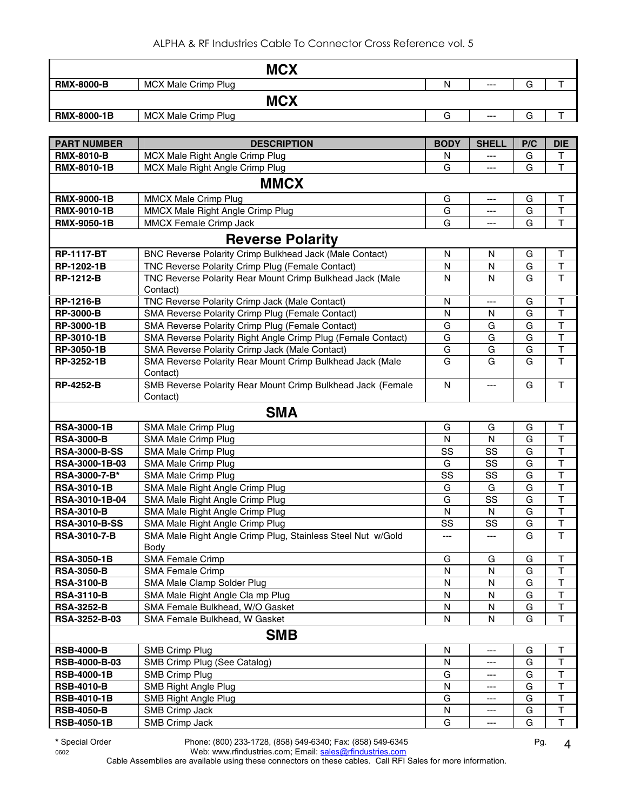|                      | <b>MCX</b>                                                              |             |              |        |                                   |
|----------------------|-------------------------------------------------------------------------|-------------|--------------|--------|-----------------------------------|
| <b>RMX-8000-B</b>    | <b>MCX Male Crimp Plug</b>                                              | N           | ---          | G      | Τ                                 |
|                      | <b>MCX</b>                                                              |             |              |        |                                   |
| RMX-8000-1B          | MCX Male Crimp Plug                                                     | G           | ---          | G      | $\top$                            |
|                      |                                                                         |             |              |        |                                   |
| <b>PART NUMBER</b>   | <b>DESCRIPTION</b>                                                      | <b>BODY</b> | <b>SHELL</b> | P/C    | <b>DIE</b>                        |
| <b>RMX-8010-B</b>    | MCX Male Right Angle Crimp Plug                                         | N           | ---          | G      | Т                                 |
| RMX-8010-1B          | MCX Male Right Angle Crimp Plug                                         | G           | ---          | G      | T                                 |
|                      | <b>MMCX</b>                                                             |             |              |        |                                   |
| <b>RMX-9000-1B</b>   | <b>MMCX Male Crimp Plug</b>                                             | G           | ---          | G      | T                                 |
| RMX-9010-1B          | MMCX Male Right Angle Crimp Plug                                        | G           | ---          | G      | $\overline{\mathsf{T}}$           |
| RMX-9050-1B          | MMCX Female Crimp Jack                                                  | G           | ---          | G      | $\overline{\mathsf{T}}$           |
|                      |                                                                         |             |              |        |                                   |
|                      | <b>Reverse Polarity</b>                                                 |             |              |        |                                   |
| <b>RP-1117-BT</b>    | BNC Reverse Polarity Crimp Bulkhead Jack (Male Contact)                 | N           | N            | G      | Τ                                 |
| RP-1202-1B           | TNC Reverse Polarity Crimp Plug (Female Contact)                        | N           | N<br>N       | G<br>G | $\top$<br>$\overline{\mathsf{T}}$ |
| <b>RP-1212-B</b>     | TNC Reverse Polarity Rear Mount Crimp Bulkhead Jack (Male<br>Contact)   | N           |              |        |                                   |
| <b>RP-1216-B</b>     | TNC Reverse Polarity Crimp Jack (Male Contact)                          | N           | ---          | G      | T                                 |
| <b>RP-3000-B</b>     | SMA Reverse Polarity Crimp Plug (Female Contact)                        | N           | N            | G      | $\overline{\mathsf{T}}$           |
| RP-3000-1B           | SMA Reverse Polarity Crimp Plug (Female Contact)                        | G           | G            | G      | $\overline{\mathsf{T}}$           |
| RP-3010-1B           | SMA Reverse Polarity Right Angle Crimp Plug (Female Contact)            | G           | G            | G      | $\mathsf T$                       |
| RP-3050-1B           | SMA Reverse Polarity Crimp Jack (Male Contact)                          | G           | G            | G      | $\mathsf T$                       |
| RP-3252-1B           | SMA Reverse Polarity Rear Mount Crimp Bulkhead Jack (Male               | G           | G            | G      | $\mathsf{T}$                      |
|                      | Contact)                                                                |             |              |        |                                   |
| <b>RP-4252-B</b>     | SMB Reverse Polarity Rear Mount Crimp Bulkhead Jack (Female<br>Contact) | ${\sf N}$   | ---          | G      | $\mathsf{T}$                      |
|                      | <b>SMA</b>                                                              |             |              |        |                                   |
| <b>RSA-3000-1B</b>   | SMA Male Crimp Plug                                                     | G           | G            | G      | Т                                 |
| <b>RSA-3000-B</b>    | SMA Male Crimp Plug                                                     | N           | N            | G      | $\top$                            |
| <b>RSA-3000-B-SS</b> | SMA Male Crimp Plug                                                     | SS          | SS           | G      | $\top$                            |
| RSA-3000-1B-03       | SMA Male Crimp Plug                                                     | G           | SS           | G      | $\top$                            |
| RSA-3000-7-B*        | SMA Male Crimp Plug                                                     | SS          | SS           | G      | $\top$                            |
| <b>RSA-3010-1B</b>   | SMA Male Right Angle Crimp Plug                                         | G           | G            | G      | $\overline{\mathsf{T}}$           |
| RSA-3010-1B-04       | SMA Male Right Angle Crimp Plug                                         | G           | SS           | G      | $\mathsf T$                       |
| <b>RSA-3010-B</b>    | SMA Male Right Angle Crimp Plug                                         | N           | N            | G      | $\mathsf{T}$                      |
| <b>RSA-3010-B-SS</b> | SMA Male Right Angle Crimp Plug                                         | SS          | SS           | G      | $\sf T$                           |
| <b>RSA-3010-7-B</b>  | SMA Male Right Angle Crimp Plug, Stainless Steel Nut w/Gold             |             |              | G      | T                                 |
| <b>RSA-3050-1B</b>   | Body<br>SMA Female Crimp                                                | G           | G            | G      | T                                 |
| <b>RSA-3050-B</b>    | <b>SMA Female Crimp</b>                                                 | N           | N            | G      | $\mathsf T$                       |
| <b>RSA-3100-B</b>    | SMA Male Clamp Solder Plug                                              | N           | N            | G      | $\top$                            |
| <b>RSA-3110-B</b>    | SMA Male Right Angle Cla mp Plug                                        | N           | N            | G      | $\mathsf T$                       |
| <b>RSA-3252-B</b>    | SMA Female Bulkhead, W/O Gasket                                         | N           | N            | G      | T                                 |
| RSA-3252-B-03        | SMA Female Bulkhead, W Gasket                                           | N           | N            | G      | $\mathsf{T}$                      |
|                      | <b>SMB</b>                                                              |             |              |        |                                   |
| <b>RSB-4000-B</b>    | <b>SMB Crimp Plug</b>                                                   | N           | ---          | G      | $\mathsf T$                       |
| RSB-4000-B-03        | SMB Crimp Plug (See Catalog)                                            | N           | ---          | G      | $\mathsf T$                       |
| <b>RSB-4000-1B</b>   | <b>SMB Crimp Plug</b>                                                   | G           | ---          | G      | $\top$                            |
| <b>RSB-4010-B</b>    | SMB Right Angle Plug                                                    | N           | ---          | G      | T                                 |
| <b>RSB-4010-1B</b>   | SMB Right Angle Plug                                                    | G           | ---          | G      | T                                 |
| <b>RSB-4050-B</b>    | SMB Crimp Jack                                                          | N           | ---          | G      | T                                 |
| <b>RSB-4050-1B</b>   | SMB Crimp Jack                                                          | G           | ---          | G      | $\mathsf{T}$                      |

**\*** Special Order Phone: (800) 233-1728, (858) 549-6340; Fax: (858) 549-6345 Pg.

0602 Web: www.rfindustries.com; Email: <u>sales@rfindustries.com</u>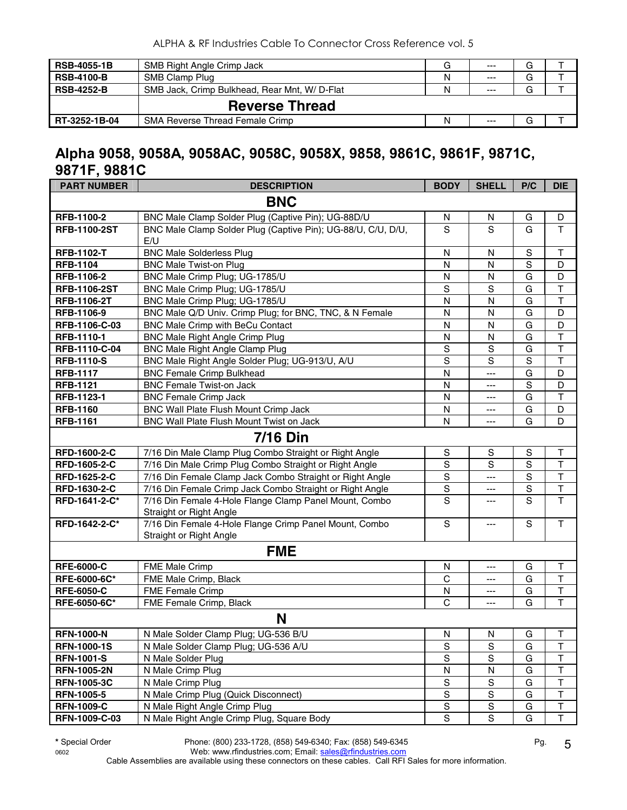| <b>RSB-4055-1B</b> | SMB Right Angle Crimp Jack                   | G | $---$ | G |  |
|--------------------|----------------------------------------------|---|-------|---|--|
| <b>RSB-4100-B</b>  | SMB Clamp Plug                               | N | $---$ | G |  |
| <b>RSB-4252-B</b>  | SMB Jack, Crimp Bulkhead, Rear Mnt, W/D-Flat | N | $---$ | G |  |
|                    | <b>Reverse Thread</b>                        |   |       |   |  |
| RT-3252-1B-04      | <b>SMA Reverse Thread Female Crimp</b>       | N | $---$ | G |  |

#### **Alpha 9058, 9058A, 9058AC, 9058C, 9058X, 9858, 9861C, 9861F, 9871C, 9871F, 9881C**

| <b>PART NUMBER</b>  | <b>DESCRIPTION</b>                                                                | <b>BODY</b>    | <b>SHELL</b>            | P/C            | <b>DIE</b>              |
|---------------------|-----------------------------------------------------------------------------------|----------------|-------------------------|----------------|-------------------------|
|                     | <b>BNC</b>                                                                        |                |                         |                |                         |
| RFB-1100-2          | BNC Male Clamp Solder Plug (Captive Pin); UG-88D/U                                | N              | N                       | G              | D                       |
| <b>RFB-1100-2ST</b> | BNC Male Clamp Solder Plug (Captive Pin); UG-88/U, C/U, D/U,<br>E/U               | S              | S                       | G              | $\mathsf{T}$            |
| <b>RFB-1102-T</b>   | <b>BNC Male Solderless Plug</b>                                                   | N              | N                       | S              | T                       |
| <b>RFB-1104</b>     | <b>BNC Male Twist-on Plug</b>                                                     | N              | $\mathsf{N}$            | $\mathbf S$    | D                       |
| RFB-1106-2          | BNC Male Crimp Plug; UG-1785/U                                                    | N              | N                       | G              | D                       |
| <b>RFB-1106-2ST</b> | BNC Male Crimp Plug; UG-1785/U                                                    | S              | S                       | G              | $\mathsf T$             |
| <b>RFB-1106-2T</b>  | BNC Male Crimp Plug; UG-1785/U                                                    | $\mathsf{N}$   | N                       | G              | $\overline{\mathsf{T}}$ |
| RFB-1106-9          | BNC Male Q/D Univ. Crimp Plug; for BNC, TNC, & N Female                           | N              | N                       | G              | D                       |
| RFB-1106-C-03       | BNC Male Crimp with BeCu Contact                                                  | N              | N                       | G              | D                       |
| RFB-1110-1          | <b>BNC Male Right Angle Crimp Plug</b>                                            | N              | N                       | G              | $\mathsf T$             |
| RFB-1110-C-04       | <b>BNC Male Right Angle Clamp Plug</b>                                            | $\mathbf S$    | S                       | $\overline{G}$ | $\overline{\mathsf{T}}$ |
| <b>RFB-1110-S</b>   | BNC Male Right Angle Solder Plug; UG-913/U, A/U                                   | $\overline{s}$ | $\overline{s}$          | $\overline{s}$ | $\mathsf{T}$            |
| <b>RFB-1117</b>     | <b>BNC Female Crimp Bulkhead</b>                                                  | N              | ---                     | $\overline{G}$ | D                       |
| <b>RFB-1121</b>     | <b>BNC Female Twist-on Jack</b>                                                   | N              | ---                     | $\overline{s}$ | D                       |
| RFB-1123-1          | <b>BNC Female Crimp Jack</b>                                                      | N              | $---$                   | $\overline{G}$ | $\overline{\mathsf{T}}$ |
| <b>RFB-1160</b>     | BNC Wall Plate Flush Mount Crimp Jack                                             | N              | ---                     | G              | D                       |
| <b>RFB-1161</b>     | BNC Wall Plate Flush Mount Twist on Jack                                          | $\mathsf{N}$   | ---                     | G              | D                       |
|                     | <b>7/16 Din</b>                                                                   |                |                         |                |                         |
| RFD-1600-2-C        | 7/16 Din Male Clamp Plug Combo Straight or Right Angle                            | ${\mathsf S}$  | ${\mathsf S}$           | $\mathsf S$    | $\sf T$                 |
| RFD-1605-2-C        | 7/16 Din Male Crimp Plug Combo Straight or Right Angle                            | $\overline{s}$ | $\overline{\mathsf{s}}$ | $\overline{s}$ | $\overline{\mathsf{T}}$ |
| RFD-1625-2-C        | 7/16 Din Female Clamp Jack Combo Straight or Right Angle                          | $\mathbf S$    | $\overline{a}$          | S              | $\top$                  |
| RFD-1630-2-C        | 7/16 Din Female Crimp Jack Combo Straight or Right Angle                          | $\mathbf S$    | ---                     | S              | $\overline{\mathsf{T}}$ |
| RFD-1641-2-C*       | 7/16 Din Female 4-Hole Flange Clamp Panel Mount, Combo<br>Straight or Right Angle | S              | ---                     | S              | $\overline{\mathsf{T}}$ |
| RFD-1642-2-C*       | 7/16 Din Female 4-Hole Flange Crimp Panel Mount, Combo<br>Straight or Right Angle | $\mathbf S$    | $---$                   | $\mathbf S$    | $\mathsf{T}$            |
|                     | <b>FME</b>                                                                        |                |                         |                |                         |
| <b>RFE-6000-C</b>   | FME Male Crimp                                                                    | N              | ---                     | G              | T                       |
| RFE-6000-6C*        | FME Male Crimp, Black                                                             | C              | ---                     | G              | $\mathsf{T}$            |
| <b>RFE-6050-C</b>   | <b>FME Female Crimp</b>                                                           | N              | ---                     | G              | $\top$                  |
| RFE-6050-6C*        | FME Female Crimp, Black                                                           | $\mathsf{C}$   | ---                     | G              | $\overline{\mathsf{T}}$ |
|                     | N                                                                                 |                |                         |                |                         |
| <b>RFN-1000-N</b>   | N Male Solder Clamp Plug; UG-536 B/U                                              | ${\sf N}$      | N                       | G              | T                       |
| <b>RFN-1000-1S</b>  | N Male Solder Clamp Plug; UG-536 A/U                                              | S              | S                       | G              | $\sf T$                 |
| <b>RFN-1001-S</b>   | N Male Solder Plug                                                                | ${\mathsf S}$  | S                       | G              | T                       |
| <b>RFN-1005-2N</b>  | N Male Crimp Plug                                                                 | N              | ${\sf N}$               | G              | $\sf T$                 |
| <b>RFN-1005-3C</b>  | N Male Crimp Plug                                                                 | S              | S                       | G              | $\sf T$                 |
| <b>RFN-1005-5</b>   | N Male Crimp Plug (Quick Disconnect)                                              | ${\mathsf S}$  | S                       | G              | T                       |
| <b>RFN-1009-C</b>   | N Male Right Angle Crimp Plug                                                     | S              | S                       | G              | $\sf T$                 |
| RFN-1009-C-03       | N Male Right Angle Crimp Plug, Square Body                                        | ${\mathsf S}$  | ${\mathsf S}$           | G              | $\top$                  |

**\*** Special Order Phone: (800) 233-1728, (858) 549-6340; Fax: (858) 549-6345 Pg. 0602 Web: www.rfindustries.com; Email: <u>sales@rfindustries.com</u>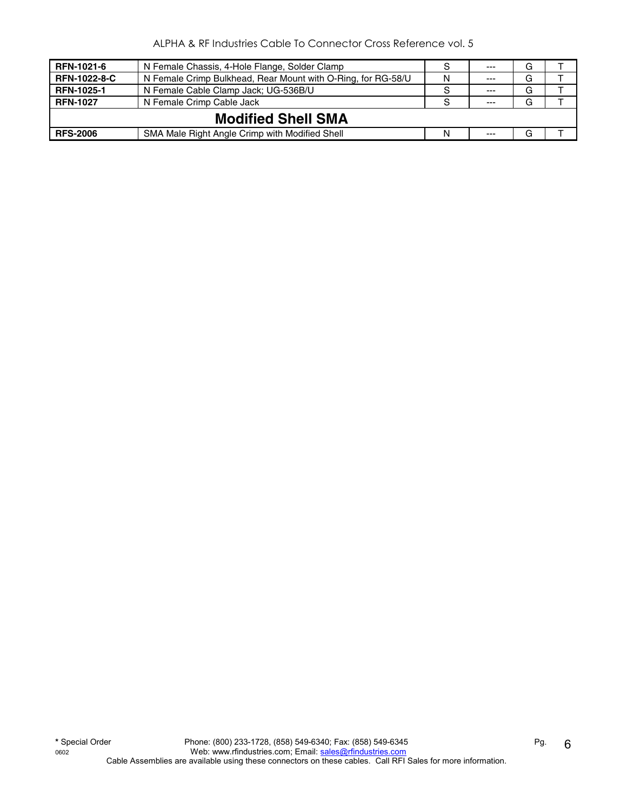| <b>RFN-1021-6</b>   | N Female Chassis, 4-Hole Flange, Solder Clamp                | -S | $---$   | G |  |  |  |
|---------------------|--------------------------------------------------------------|----|---------|---|--|--|--|
| <b>RFN-1022-8-C</b> | N Female Crimp Bulkhead, Rear Mount with O-Ring, for RG-58/U | N  | $- - -$ | G |  |  |  |
| <b>RFN-1025-1</b>   | N Female Cable Clamp Jack; UG-536B/U                         | -S | $- - -$ | G |  |  |  |
| <b>RFN-1027</b>     | N Female Crimp Cable Jack                                    |    | $- - -$ | G |  |  |  |
|                     | <b>Modified Shell SMA</b>                                    |    |         |   |  |  |  |
| <b>RFS-2006</b>     | SMA Male Right Angle Crimp with Modified Shell               | N  | $- - -$ | G |  |  |  |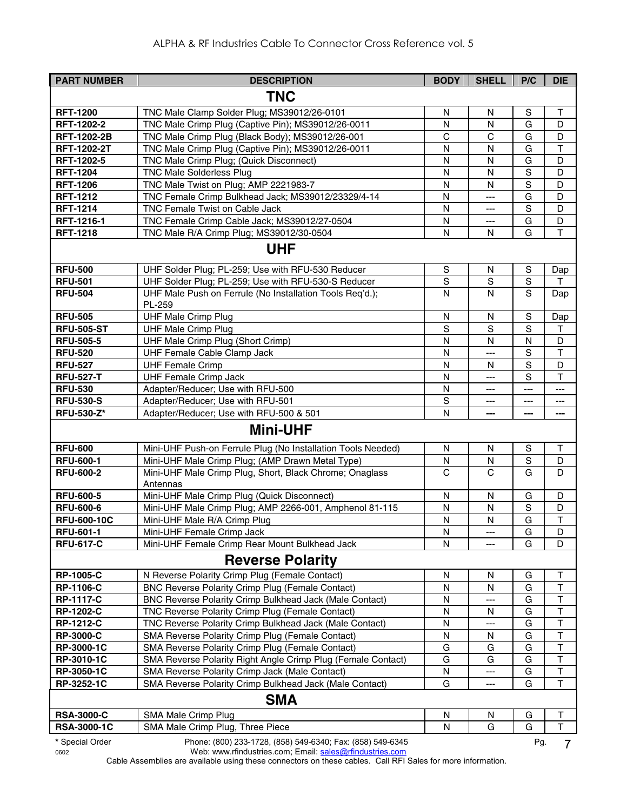| <b>PART NUMBER</b>       | <b>DESCRIPTION</b>                                                                                               | <b>BODY</b>   | <b>SHELL</b> | P/C            | <b>DIE</b>              |
|--------------------------|------------------------------------------------------------------------------------------------------------------|---------------|--------------|----------------|-------------------------|
|                          | <b>TNC</b>                                                                                                       |               |              |                |                         |
| <b>RFT-1200</b>          | TNC Male Clamp Solder Plug; MS39012/26-0101                                                                      | N             | $\mathsf{N}$ | $\mathbf S$    | $\mathsf T$             |
| RFT-1202-2               | TNC Male Crimp Plug (Captive Pin); MS39012/26-0011                                                               | N             | N            | G              | D                       |
| <b>RFT-1202-2B</b>       | TNC Male Crimp Plug (Black Body); MS39012/26-001                                                                 | C             | $\mathsf{C}$ | G              | D                       |
| RFT-1202-2T              | TNC Male Crimp Plug (Captive Pin); MS39012/26-0011                                                               | N             | $\mathsf{N}$ | G              | $\overline{\mathsf{T}}$ |
| RFT-1202-5               | TNC Male Crimp Plug; (Quick Disconnect)                                                                          | N             | $\mathsf{N}$ | G              | D                       |
| <b>RFT-1204</b>          | <b>TNC Male Solderless Plug</b>                                                                                  | N             | N            | $\mathbf S$    | D                       |
| <b>RFT-1206</b>          | TNC Male Twist on Plug; AMP 2221983-7                                                                            | N             | N            | $\overline{s}$ | D                       |
| <b>RFT-1212</b>          | TNC Female Crimp Bulkhead Jack; MS39012/23329/4-14                                                               | N             | ---          | G              | D                       |
| <b>RFT-1214</b>          | TNC Female Twist on Cable Jack                                                                                   | N             | ---          | $\mathbf S$    | D                       |
| RFT-1216-1               | TNC Female Crimp Cable Jack; MS39012/27-0504                                                                     | ${\sf N}$     | ---          | G              | D                       |
| <b>RFT-1218</b>          | TNC Male R/A Crimp Plug; MS39012/30-0504                                                                         | N             | N            | G              | $\mathsf T$             |
|                          | <b>UHF</b>                                                                                                       |               |              |                |                         |
| <b>RFU-500</b>           | UHF Solder Plug; PL-259; Use with RFU-530 Reducer                                                                | ${\mathbb S}$ | N            | S              | Dap                     |
| <b>RFU-501</b>           | UHF Solder Plug; PL-259; Use with RFU-530-S Reducer                                                              | S             | S            | ${\mathsf S}$  | т                       |
| <b>RFU-504</b>           | UHF Male Push on Ferrule (No Installation Tools Req'd.);<br>PL-259                                               | N             | N            | S              | Dap                     |
| <b>RFU-505</b>           | <b>UHF Male Crimp Plug</b>                                                                                       | N             | N            | S              | Dap                     |
| <b>RFU-505-ST</b>        | <b>UHF Male Crimp Plug</b>                                                                                       | S             | S            | $\overline{s}$ | т                       |
| <b>RFU-505-5</b>         | UHF Male Crimp Plug (Short Crimp)                                                                                | N             | $\mathsf{N}$ | N              | D                       |
| <b>RFU-520</b>           | UHF Female Cable Clamp Jack                                                                                      | N             | ---          | $\mathbf S$    | $\mathsf T$             |
| <b>RFU-527</b>           | <b>UHF Female Crimp</b>                                                                                          | N             | N            | $\overline{s}$ | D                       |
| <b>RFU-527-T</b>         | <b>UHF Female Crimp Jack</b>                                                                                     | N             | ---          | S              | $\mathsf{T}$            |
| <b>RFU-530</b>           | Adapter/Reducer; Use with RFU-500                                                                                | N             | ---          | ---            | ---                     |
| <b>RFU-530-S</b>         | Adapter/Reducer; Use with RFU-501                                                                                | S             | ---          | $---$          | ---                     |
| <b>RFU-530-Z*</b>        | Adapter/Reducer; Use with RFU-500 & 501                                                                          | N             | ---          | ---            | ---                     |
|                          | <b>Mini-UHF</b>                                                                                                  |               |              |                |                         |
| <b>RFU-600</b>           | Mini-UHF Push-on Ferrule Plug (No Installation Tools Needed)                                                     | N             | N            | ${\mathsf S}$  | $\mathsf T$             |
| <b>RFU-600-1</b>         | Mini-UHF Male Crimp Plug; (AMP Drawn Metal Type)                                                                 | N             | N            | $\mathbf S$    | D                       |
| <b>RFU-600-2</b>         | Mini-UHF Male Crimp Plug, Short, Black Chrome; Onaglass<br>Antennas                                              | C             | C            | G              | D                       |
| <b>RFU-600-5</b>         | Mini-UHF Male Crimp Plug (Quick Disconnect)                                                                      | N             | N            | G              | D                       |
| <b>RFU-600-6</b>         | Mini-UHF Male Crimp Plug; AMP 2266-001, Amphenol 81-115                                                          | N             | N            | $\mathbf S$    | D                       |
| <b>RFU-600-10C</b>       | Mini-UHF Male R/A Crimp Plug                                                                                     | N             | N            | G              | $\mathsf T$             |
| <b>RFU-601-1</b>         | Mini-UHF Female Crimp Jack                                                                                       | N             | ---          | G              | D                       |
| <b>RFU-617-C</b>         | Mini-UHF Female Crimp Rear Mount Bulkhead Jack                                                                   | N             | ---          | G              | D                       |
|                          | <b>Reverse Polarity</b>                                                                                          |               |              |                |                         |
| <b>RP-1005-C</b>         | N Reverse Polarity Crimp Plug (Female Contact)                                                                   | N             | N            | G              | Т                       |
| <b>RP-1106-C</b>         | <b>BNC Reverse Polarity Crimp Plug (Female Contact)</b>                                                          | N             | N            | G              | Т                       |
| <b>RP-1117-C</b>         | BNC Reverse Polarity Crimp Bulkhead Jack (Male Contact)                                                          | N             | ---          | G              | Т                       |
| <b>RP-1202-C</b>         | TNC Reverse Polarity Crimp Plug (Female Contact)                                                                 | Ν             | N            | G              | $\sf T$                 |
| <b>RP-1212-C</b>         | TNC Reverse Polarity Crimp Bulkhead Jack (Male Contact)                                                          | N             | ---          | G              | $\mathsf T$             |
| <b>RP-3000-C</b>         | SMA Reverse Polarity Crimp Plug (Female Contact)                                                                 | Ν             | N            | G<br>G         | $\mathsf T$<br>$\top$   |
| RP-3000-1C<br>RP-3010-1C | SMA Reverse Polarity Crimp Plug (Female Contact)<br>SMA Reverse Polarity Right Angle Crimp Plug (Female Contact) | G<br>G        | G<br>G       | G              | T                       |
| RP-3050-1C               | SMA Reverse Polarity Crimp Jack (Male Contact)                                                                   | ${\sf N}$     | ---          | G              | $\sf T$                 |
| RP-3252-1C               | SMA Reverse Polarity Crimp Bulkhead Jack (Male Contact)                                                          | G             | ---          | G              | Τ                       |
|                          |                                                                                                                  |               |              |                |                         |
|                          | <b>SMA</b>                                                                                                       |               |              |                |                         |
| <b>RSA-3000-C</b>        | SMA Male Crimp Plug                                                                                              | N             | N            | G              | Т                       |
| <b>RSA-3000-1C</b>       | SMA Male Crimp Plug, Three Piece                                                                                 | N             | G            | G              | Τ                       |
| * Special Order          | Phone: (800) 233-1728, (858) 549-6340; Fax: (858) 549-6345                                                       |               |              | Pg.            | $\overline{7}$          |

0602 Web: www.rfindustries.com; Email: <u>sales@rfindustries.com</u>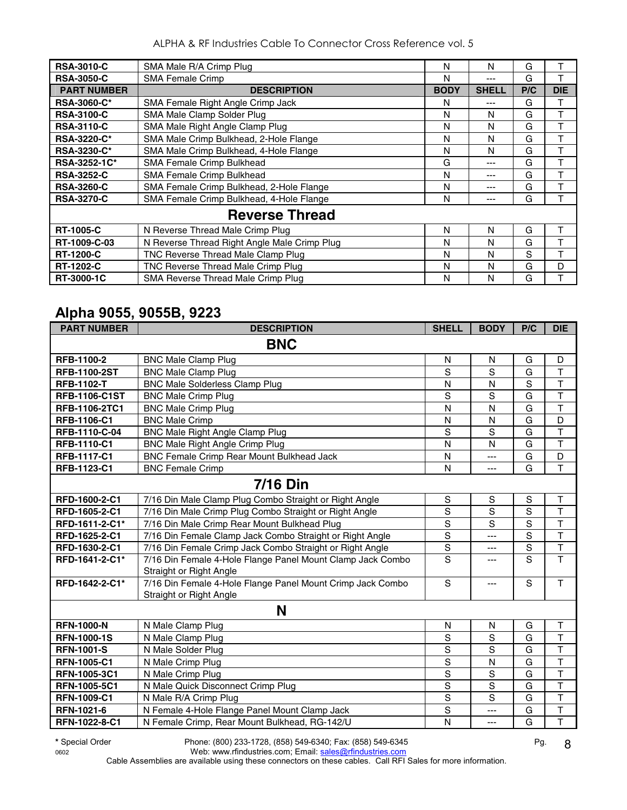| <b>RSA-3010-C</b>  | SMA Male R/A Crimp Plug                      | N           | N            | G   | т          |
|--------------------|----------------------------------------------|-------------|--------------|-----|------------|
| <b>RSA-3050-C</b>  | <b>SMA Female Crimp</b>                      | N           | ---          | G   | т          |
| <b>PART NUMBER</b> | <b>DESCRIPTION</b>                           | <b>BODY</b> | <b>SHELL</b> | P/C | <b>DIE</b> |
| <b>RSA-3060-C*</b> | SMA Female Right Angle Crimp Jack            | N           | ---          | G   | т          |
| <b>RSA-3100-C</b>  | SMA Male Clamp Solder Plug                   | N           | N            | G   | т          |
| <b>RSA-3110-C</b>  | SMA Male Right Angle Clamp Plug              | N           | N            | G   | т          |
| <b>RSA-3220-C*</b> | SMA Male Crimp Bulkhead, 2-Hole Flange       | N           | N            | G   | T          |
| <b>RSA-3230-C*</b> | SMA Male Crimp Bulkhead, 4-Hole Flange       | N           | N            | G   | т          |
| RSA-3252-1C*       | <b>SMA Female Crimp Bulkhead</b>             | G           | ---          | G   | т          |
| <b>RSA-3252-C</b>  | SMA Female Crimp Bulkhead                    | N           | ---          | G   | т          |
| <b>RSA-3260-C</b>  | SMA Female Crimp Bulkhead, 2-Hole Flange     | N           | ---          | G   |            |
| <b>RSA-3270-C</b>  | SMA Female Crimp Bulkhead, 4-Hole Flange     | N           | ---          | G   | т          |
|                    | <b>Reverse Thread</b>                        |             |              |     |            |
| <b>RT-1005-C</b>   | N Reverse Thread Male Crimp Plug             | N           | N            | G   | т          |
| RT-1009-C-03       | N Reverse Thread Right Angle Male Crimp Plug | N           | N            | G   | т          |
| <b>RT-1200-C</b>   | TNC Reverse Thread Male Clamp Plug           | N           | N            | S   | т          |
| <b>RT-1202-C</b>   | TNC Reverse Thread Male Crimp Plug           | N           | N            | G   | D          |
| RT-3000-1C         | SMA Reverse Thread Male Crimp Plug           | N           | N            | G   |            |

#### **Alpha 9055, 9055B, 9223**

| <b>PART NUMBER</b>   | <b>DESCRIPTION</b>                                                                    | <b>SHELL</b>   | <b>BODY</b>    | P/C            | <b>DIE</b>              |
|----------------------|---------------------------------------------------------------------------------------|----------------|----------------|----------------|-------------------------|
|                      | <b>BNC</b>                                                                            |                |                |                |                         |
| RFB-1100-2           | <b>BNC Male Clamp Plug</b>                                                            | N              | N              | G              | D                       |
| <b>RFB-1100-2ST</b>  | <b>BNC Male Clamp Plug</b>                                                            | S              | S              | G              | T                       |
| <b>RFB-1102-T</b>    | <b>BNC Male Solderless Clamp Plug</b>                                                 | N              | N              | S              | T                       |
| <b>RFB-1106-C1ST</b> | <b>BNC Male Crimp Plug</b>                                                            | $\mathbf S$    | S              | G              | $\overline{\mathsf{T}}$ |
| RFB-1106-2TC1        | <b>BNC Male Crimp Plug</b>                                                            | N              | N              | G              | $\overline{\mathsf{T}}$ |
| <b>RFB-1106-C1</b>   | <b>BNC Male Crimp</b>                                                                 | N              | N              | G              | D                       |
| RFB-1110-C-04        | <b>BNC Male Right Angle Clamp Plug</b>                                                | S              | S              | G              | $\overline{\mathsf{T}}$ |
| RFB-1110-C1          | <b>BNC Male Right Angle Crimp Plug</b>                                                | N              | N              | G              | $\overline{T}$          |
| RFB-1117-C1          | <b>BNC Female Crimp Rear Mount Bulkhead Jack</b>                                      | N              | ---            | G              | $\overline{D}$          |
| RFB-1123-C1          | <b>BNC Female Crimp</b>                                                               | N              | $\overline{a}$ | G              | T                       |
|                      | <b>7/16 Din</b>                                                                       |                |                |                |                         |
| RFD-1600-2-C1        | 7/16 Din Male Clamp Plug Combo Straight or Right Angle                                | $\mathbf S$    | S              | S              | T                       |
| RFD-1605-2-C1        | 7/16 Din Male Crimp Plug Combo Straight or Right Angle                                | $\mathsf S$    | S              | $\overline{s}$ | T                       |
| RFD-1611-2-C1*       | 7/16 Din Male Crimp Rear Mount Bulkhead Plug                                          | $\mathbf S$    | S              | $\mathbf S$    | T                       |
| RFD-1625-2-C1        | 7/16 Din Female Clamp Jack Combo Straight or Right Angle                              | $\mathbf S$    | ---            | $\mathbf S$    | $\overline{\mathsf{T}}$ |
| RFD-1630-2-C1        | 7/16 Din Female Crimp Jack Combo Straight or Right Angle                              | $\mathbf S$    | ---            | $\mathbf S$    | T                       |
| RFD-1641-2-C1*       | 7/16 Din Female 4-Hole Flange Panel Mount Clamp Jack Combo<br>Straight or Right Angle | $\overline{s}$ | $---$          | $\overline{s}$ | $\overline{\mathsf{T}}$ |
| RFD-1642-2-C1*       | 7/16 Din Female 4-Hole Flange Panel Mount Crimp Jack Combo<br>Straight or Right Angle | S              | ---            | S              | т                       |
|                      | N                                                                                     |                |                |                |                         |
| <b>RFN-1000-N</b>    | N Male Clamp Plug                                                                     | N              | N              | G              | T                       |
| <b>RFN-1000-1S</b>   | N Male Clamp Plug                                                                     | S              | $\mathbf S$    | G              | $\mathsf{T}$            |
| <b>RFN-1001-S</b>    | N Male Solder Plug                                                                    | S              | $\overline{s}$ | G              | $\overline{\mathsf{T}}$ |
| <b>RFN-1005-C1</b>   | N Male Crimp Plug                                                                     | $\overline{s}$ | N              | G              | T                       |
| RFN-1005-3C1         | N Male Crimp Plug                                                                     | $\mathbf S$    | S              | G              | $\overline{\mathsf{T}}$ |
| <b>RFN-1005-5C1</b>  | N Male Quick Disconnect Crimp Plug                                                    | $\overline{s}$ | $\overline{s}$ | G              | T                       |
| <b>RFN-1009-C1</b>   | N Male R/A Crimp Plug                                                                 | S              | S              | G              | $\top$                  |
| RFN-1021-6           | N Female 4-Hole Flange Panel Mount Clamp Jack                                         | S              | ---            | G              | T                       |
| RFN-1022-8-C1        | N Female Crimp, Rear Mount Bulkhead, RG-142/U                                         | N              | $\overline{a}$ | G              | T                       |

**\*** Special Order Phone: (800) 233-1728, (858) 549-6340; Fax: (858) 549-6345 Pg. 0602 Web: www.rfindustries.com; Email: <u>sales@rfindustries.com</u>

8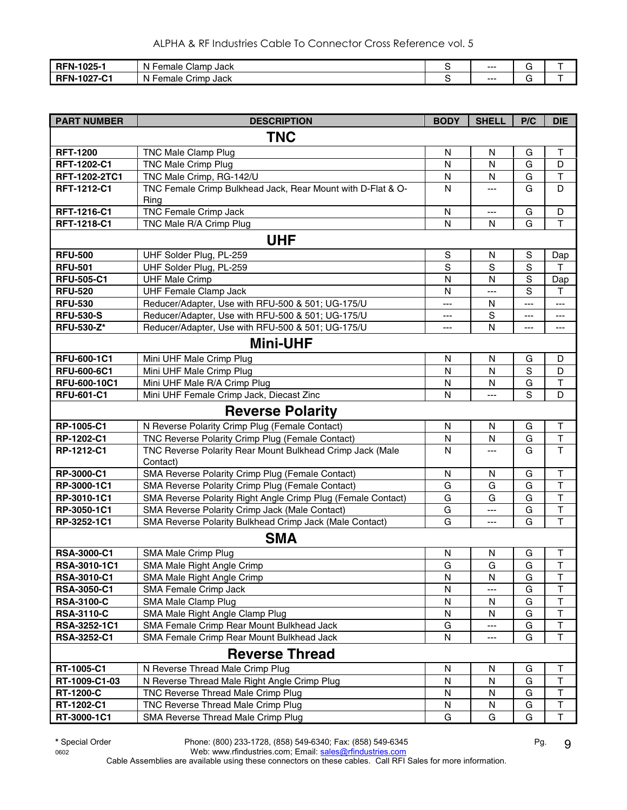| RFN-1025-1                           | Clamp Jack<br>$\cdots$<br><b>Female</b><br>N | $--$ | - |
|--------------------------------------|----------------------------------------------|------|---|
| <b>RFN-1027</b><br>$\sim$<br>' ا ب∙′ | .<br>Female<br>Crimp Jack<br>N               | $--$ |   |

| <b>PART NUMBER</b> | <b>DESCRIPTION</b>                                           | <b>BODY</b>       | <b>SHELL</b> | P/C         | <b>DIE</b>              |  |  |
|--------------------|--------------------------------------------------------------|-------------------|--------------|-------------|-------------------------|--|--|
|                    | <b>TNC</b>                                                   |                   |              |             |                         |  |  |
| <b>RFT-1200</b>    | <b>TNC Male Clamp Plug</b>                                   | ${\sf N}$         | $\mathsf{N}$ | G           | $\top$                  |  |  |
| RFT-1202-C1        | <b>TNC Male Crimp Plug</b>                                   | N                 | N            | G           | D                       |  |  |
| RFT-1202-2TC1      | TNC Male Crimp, RG-142/U                                     | N                 | N            | G           | $\top$                  |  |  |
| RFT-1212-C1        | TNC Female Crimp Bulkhead Jack, Rear Mount with D-Flat & O-  | N                 | ---          | G           | D                       |  |  |
|                    | Ring                                                         |                   |              |             |                         |  |  |
| RFT-1216-C1        | <b>TNC Female Crimp Jack</b>                                 | N                 | ---          | G           | D                       |  |  |
| RFT-1218-C1        | TNC Male R/A Crimp Plug                                      | N                 | N            | G           | $\mathsf T$             |  |  |
|                    | <b>UHF</b>                                                   |                   |              |             |                         |  |  |
| <b>RFU-500</b>     | UHF Solder Plug, PL-259                                      | $\mathsf S$       | N            | S           | Dap                     |  |  |
| <b>RFU-501</b>     | UHF Solder Plug, PL-259                                      | $\mathsf S$       | S            | S           | T                       |  |  |
| <b>RFU-505-C1</b>  | <b>UHF Male Crimp</b>                                        | N                 | $\mathsf{N}$ | S           | Dap                     |  |  |
| <b>RFU-520</b>     | <b>UHF Female Clamp Jack</b>                                 | N                 | ---          | S           | Т                       |  |  |
| <b>RFU-530</b>     | Reducer/Adapter, Use with RFU-500 & 501; UG-175/U            | ---               | N            | $---$       | $---$                   |  |  |
| <b>RFU-530-S</b>   | Reducer/Adapter, Use with RFU-500 & 501; UG-175/U            | ---               | S            | $---$       | $---$                   |  |  |
| <b>RFU-530-Z*</b>  | Reducer/Adapter, Use with RFU-500 & 501; UG-175/U            | $\qquad \qquad -$ | N            | $---$       | ---                     |  |  |
| <b>Mini-UHF</b>    |                                                              |                   |              |             |                         |  |  |
| RFU-600-1C1        | Mini UHF Male Crimp Plug                                     | N                 | N            | G           | D                       |  |  |
| <b>RFU-600-6C1</b> | Mini UHF Male Crimp Plug                                     | ${\sf N}$         | N            | $\mathbf S$ | D                       |  |  |
| RFU-600-10C1       | Mini UHF Male R/A Crimp Plug                                 | N                 | N            | G           | $\mathsf T$             |  |  |
| <b>RFU-601-C1</b>  | Mini UHF Female Crimp Jack, Diecast Zinc                     | N                 | ---          | S           | D                       |  |  |
|                    | <b>Reverse Polarity</b>                                      |                   |              |             |                         |  |  |
| RP-1005-C1         | N Reverse Polarity Crimp Plug (Female Contact)               | N                 | N            | G           | $\top$                  |  |  |
| RP-1202-C1         | TNC Reverse Polarity Crimp Plug (Female Contact)             | ${\sf N}$         | ${\sf N}$    | G           | $\mathsf T$             |  |  |
| RP-1212-C1         | TNC Reverse Polarity Rear Mount Bulkhead Crimp Jack (Male    | N                 |              | G           | $\mathsf T$             |  |  |
|                    | Contact)                                                     |                   |              |             |                         |  |  |
| RP-3000-C1         | SMA Reverse Polarity Crimp Plug (Female Contact)             | N                 | N            | G           | $\top$                  |  |  |
| RP-3000-1C1        | SMA Reverse Polarity Crimp Plug (Female Contact)             | G                 | G            | G           | $\mathsf{T}$            |  |  |
| RP-3010-1C1        | SMA Reverse Polarity Right Angle Crimp Plug (Female Contact) | G                 | G            | G           | $\top$                  |  |  |
| RP-3050-1C1        | SMA Reverse Polarity Crimp Jack (Male Contact)               | G                 | ---          | G           | $\overline{\mathsf{T}}$ |  |  |
| RP-3252-1C1        | SMA Reverse Polarity Bulkhead Crimp Jack (Male Contact)      | G                 | ---          | G           | $\overline{\mathsf{T}}$ |  |  |
|                    | <b>SMA</b>                                                   |                   |              |             |                         |  |  |
| <b>RSA-3000-C1</b> | SMA Male Crimp Plug                                          | N                 | N            | G           | T                       |  |  |
| RSA-3010-1C1       | SMA Male Right Angle Crimp                                   | G                 | G            | G           | T                       |  |  |
| RSA-3010-C1        | SMA Male Right Angle Crimp                                   | $\mathsf{N}$      | N            | G           | $\top$                  |  |  |
| RSA-3050-C1        | SMA Female Crimp Jack                                        | N                 |              | G           | $\top$                  |  |  |
| <b>RSA-3100-C</b>  | SMA Male Clamp Plug                                          | $\mathsf{N}$      | N            | G           | $\overline{\mathsf{T}}$ |  |  |
| <b>RSA-3110-C</b>  | SMA Male Right Angle Clamp Plug                              | ${\sf N}$         | N            | G           | T                       |  |  |
| RSA-3252-1C1       | SMA Female Crimp Rear Mount Bulkhead Jack                    | G                 |              | G           | $\overline{\mathsf{T}}$ |  |  |
| RSA-3252-C1        | SMA Female Crimp Rear Mount Bulkhead Jack                    | N                 |              | G           | $\mathsf T$             |  |  |
|                    | <b>Reverse Thread</b>                                        |                   |              |             |                         |  |  |
| RT-1005-C1         | N Reverse Thread Male Crimp Plug                             | N                 | N            | G           | Τ                       |  |  |
| RT-1009-C1-03      | N Reverse Thread Male Right Angle Crimp Plug                 | $\mathsf{N}$      | N            | G           | $\mathsf{T}$            |  |  |
| <b>RT-1200-C</b>   | TNC Reverse Thread Male Crimp Plug                           | N                 | N            | G           | T                       |  |  |
| RT-1202-C1         | TNC Reverse Thread Male Crimp Plug                           | N                 | N            | G           | $\sf T$                 |  |  |
| RT-3000-1C1        | SMA Reverse Thread Male Crimp Plug                           | G                 | G            | G           | $\overline{\mathsf{T}}$ |  |  |

**\*** Special Order Phone: (800) 233-1728, (858) 549-6340; Fax: (858) 549-6345 Pg.

0602 Web: www.rfindustries.com; Email: <u>sales@rfindustries.com</u>

9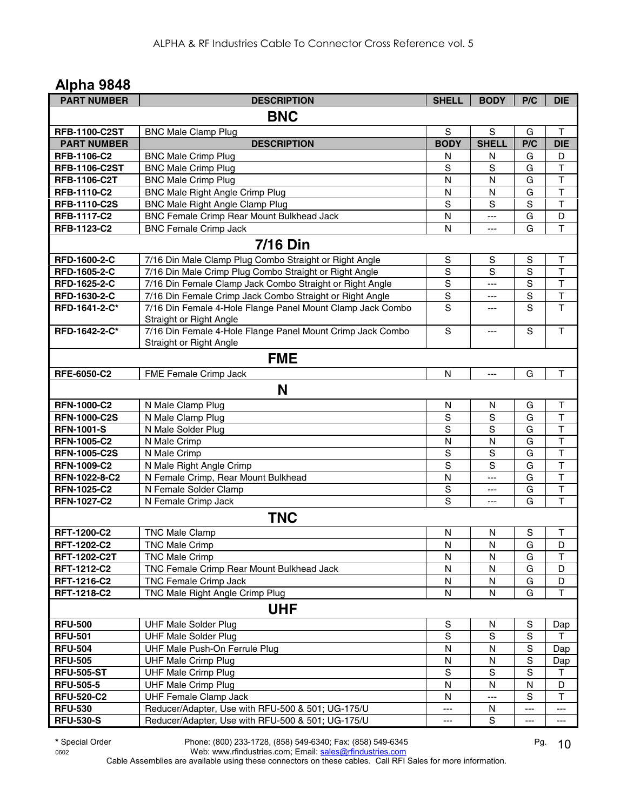| <b>PART NUMBER</b>   | <b>DESCRIPTION</b>                                                                    | <b>SHELL</b>           | <b>BODY</b>    | P/C         | <b>DIE</b>                             |
|----------------------|---------------------------------------------------------------------------------------|------------------------|----------------|-------------|----------------------------------------|
|                      | <b>BNC</b>                                                                            |                        |                |             |                                        |
| <b>RFB-1100-C2ST</b> | <b>BNC Male Clamp Plug</b>                                                            | S                      | S              | G           | $\mathsf T$                            |
| <b>PART NUMBER</b>   | <b>DESCRIPTION</b>                                                                    | <b>BODY</b>            | <b>SHELL</b>   | P/C         | <b>DIE</b>                             |
| RFB-1106-C2          | <b>BNC Male Crimp Plug</b>                                                            | N                      | N              | G           | D                                      |
| <b>RFB-1106-C2ST</b> | <b>BNC Male Crimp Plug</b>                                                            | S                      | S              | G           | Т                                      |
| <b>RFB-1106-C2T</b>  | <b>BNC Male Crimp Plug</b>                                                            | N                      | N              | G           | $\overline{\mathsf{T}}$                |
| <b>RFB-1110-C2</b>   | <b>BNC Male Right Angle Crimp Plug</b>                                                | N                      | N              | G           | T                                      |
| <b>RFB-1110-C2S</b>  | <b>BNC Male Right Angle Clamp Plug</b>                                                | S                      | S              | S           | $\top$                                 |
| <b>RFB-1117-C2</b>   | <b>BNC Female Crimp Rear Mount Bulkhead Jack</b>                                      | N                      | ---            | G           | D                                      |
| RFB-1123-C2          | <b>BNC Female Crimp Jack</b>                                                          | N                      | $\overline{a}$ | G           | $\overline{\mathsf{T}}$                |
|                      | <b>7/16 Din</b>                                                                       |                        |                |             |                                        |
| RFD-1600-2-C         | 7/16 Din Male Clamp Plug Combo Straight or Right Angle                                | $\mathbf S$            | S              | $\mathbb S$ | т                                      |
| RFD-1605-2-C         | 7/16 Din Male Crimp Plug Combo Straight or Right Angle                                | S                      | S              | S           | $\top$                                 |
| RFD-1625-2-C         | 7/16 Din Female Clamp Jack Combo Straight or Right Angle                              | $\overline{s}$         | ---            | $\mathbf S$ | $\overline{\mathsf{T}}$                |
| RFD-1630-2-C         | 7/16 Din Female Crimp Jack Combo Straight or Right Angle                              | $\overline{s}$         | ---            | S           | $\overline{\mathsf{T}}$                |
| RFD-1641-2-C*        | 7/16 Din Female 4-Hole Flange Panel Mount Clamp Jack Combo                            | S                      | ---            | S           | $\mathsf{T}$                           |
| RFD-1642-2-C*        | Straight or Right Angle<br>7/16 Din Female 4-Hole Flange Panel Mount Crimp Jack Combo | S                      | $---$          | $\mathbf S$ | $\mathsf{T}$                           |
|                      | Straight or Right Angle                                                               |                        |                |             |                                        |
|                      | <b>FME</b>                                                                            |                        |                |             |                                        |
| RFE-6050-C2          | FME Female Crimp Jack                                                                 | N                      | $---$          | G           | т                                      |
|                      |                                                                                       |                        |                |             |                                        |
|                      | N                                                                                     |                        |                |             |                                        |
| <b>RFN-1000-C2</b>   | N Male Clamp Plug                                                                     | N                      | N              | G           | T                                      |
| <b>RFN-1000-C2S</b>  | N Male Clamp Plug                                                                     | S                      | S              | G           | $\top$                                 |
| <b>RFN-1001-S</b>    | N Male Solder Plug                                                                    | S                      | $\overline{s}$ | G           | $\overline{\mathsf{T}}$                |
| <b>RFN-1005-C2</b>   | N Male Crimp                                                                          | N                      | N              | G           | $\overline{\mathsf{T}}$                |
| <b>RFN-1005-C2S</b>  | N Male Crimp                                                                          | $\mathbf S$            | $\mathbf S$    | G           | $\overline{\mathsf{T}}$                |
| <b>RFN-1009-C2</b>   | N Male Right Angle Crimp                                                              | S                      | S              | G           | $\overline{\mathsf{T}}$                |
| RFN-1022-8-C2        | N Female Crimp, Rear Mount Bulkhead                                                   | N                      | ---            | G           | $\overline{\mathsf{T}}$                |
| <b>RFN-1025-C2</b>   | N Female Solder Clamp                                                                 | S                      | ---            | G           | $\mathsf T$<br>$\overline{\mathsf{T}}$ |
| <b>RFN-1027-C2</b>   | N Female Crimp Jack                                                                   | S                      | $\overline{a}$ | G           |                                        |
|                      | <b>TNC</b>                                                                            |                        |                |             |                                        |
| <b>RFT-1200-C2</b>   | <b>TNC Male Clamp</b>                                                                 | N                      | N              | $\mathbb S$ | $\top$                                 |
| RFT-1202-C2          | <b>TNC Male Crimp</b>                                                                 | N                      | $\mathsf{N}$   | G           | D                                      |
| <b>RFT-1202-C2T</b>  | <b>TNC Male Crimp</b>                                                                 | N                      | N              | G           | Τ                                      |
| RFT-1212-C2          | TNC Female Crimp Rear Mount Bulkhead Jack                                             | N                      | N              | G           | D                                      |
| RFT-1216-C2          | <b>TNC Female Crimp Jack</b>                                                          | N                      | N              | G           | D                                      |
| RFT-1218-C2          | TNC Male Right Angle Crimp Plug                                                       | ${\sf N}$              | N              | G           | $\mathsf T$                            |
|                      | <b>UHF</b>                                                                            |                        |                |             |                                        |
| <b>RFU-500</b>       | <b>UHF Male Solder Plug</b>                                                           | $\mathbb S$            | N              | S           | Dap                                    |
| <b>RFU-501</b>       | <b>UHF Male Solder Plug</b>                                                           | $\mathbf S$            | S              | $\mathbf S$ | т                                      |
| <b>RFU-504</b>       | UHF Male Push-On Ferrule Plug                                                         | N                      | N              | $\mathbf S$ | Dap                                    |
| <b>RFU-505</b>       | <b>UHF Male Crimp Plug</b>                                                            | N                      | N              | $\mathbf S$ | Dap                                    |
| <b>RFU-505-ST</b>    | <b>UHF Male Crimp Plug</b>                                                            | $\mathbb S$            | S              | $\mathbf S$ | Τ                                      |
| <b>RFU-505-5</b>     | <b>UHF Male Crimp Plug</b>                                                            | N                      | N              | ${\sf N}$   | D                                      |
| <b>RFU-520-C2</b>    | <b>UHF Female Clamp Jack</b>                                                          | N                      | $---$          | S           | $\mathsf{T}$                           |
| <b>RFU-530</b>       | Reducer/Adapter, Use with RFU-500 & 501; UG-175/U                                     | $---$                  | N              | ---         | ---                                    |
| <b>RFU-530-S</b>     | Reducer/Adapter, Use with RFU-500 & 501; UG-175/U                                     | $\qquad \qquad \cdots$ | S              | ---         | $---$                                  |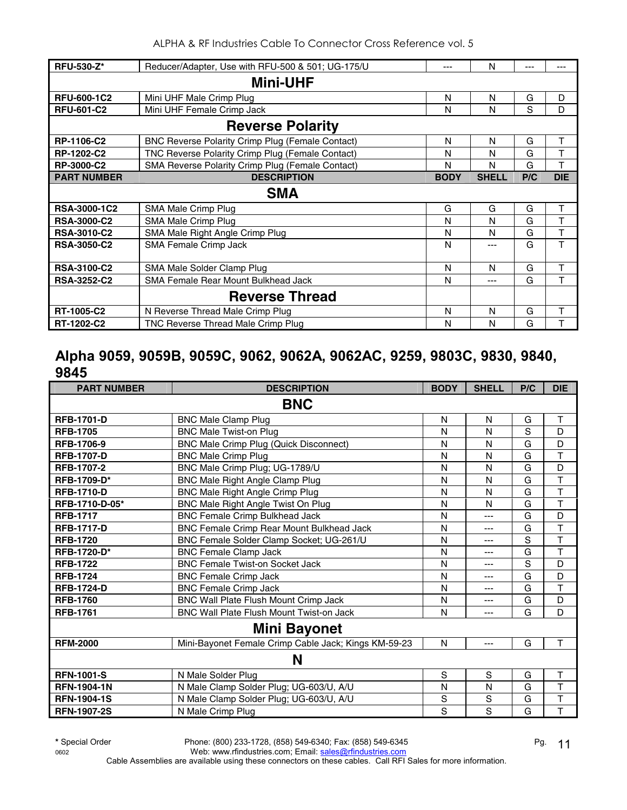| <b>RFU-530-Z*</b>  | Reducer/Adapter, Use with RFU-500 & 501; UG-175/U       | ---         | N            | --- | ---        |  |
|--------------------|---------------------------------------------------------|-------------|--------------|-----|------------|--|
| <b>Mini-UHF</b>    |                                                         |             |              |     |            |  |
| <b>RFU-600-1C2</b> | Mini UHF Male Crimp Plug                                | N           | N            | G   | D          |  |
| <b>RFU-601-C2</b>  | Mini UHF Female Crimp Jack                              | N           | N            | S   | D          |  |
|                    | <b>Reverse Polarity</b>                                 |             |              |     |            |  |
| RP-1106-C2         | <b>BNC Reverse Polarity Crimp Plug (Female Contact)</b> | N           | N            | G   | T          |  |
| RP-1202-C2         | TNC Reverse Polarity Crimp Plug (Female Contact)        | N           | N            | G   | T          |  |
| <b>RP-3000-C2</b>  | SMA Reverse Polarity Crimp Plug (Female Contact)        | N           | N            | G   | T          |  |
| <b>PART NUMBER</b> | <b>DESCRIPTION</b>                                      | <b>BODY</b> | <b>SHELL</b> | P/C | <b>DIE</b> |  |
|                    | <b>SMA</b>                                              |             |              |     |            |  |
| RSA-3000-1C2       | SMA Male Crimp Plug                                     | G           | G            | G   | Τ          |  |
| <b>RSA-3000-C2</b> | SMA Male Crimp Plug                                     | N           | N            | G   | T          |  |
| <b>RSA-3010-C2</b> | SMA Male Right Angle Crimp Plug                         | N           | N            | G   | T          |  |
| <b>RSA-3050-C2</b> | SMA Female Crimp Jack                                   | N           | ---          | G   | T          |  |
| <b>RSA-3100-C2</b> | SMA Male Solder Clamp Plug                              | N           | N            | G   | Τ          |  |
| <b>RSA-3252-C2</b> | <b>SMA Female Rear Mount Bulkhead Jack</b>              | N           | ---          | G   | T          |  |
|                    | <b>Reverse Thread</b>                                   |             |              |     |            |  |
| RT-1005-C2         | N Reverse Thread Male Crimp Plug                        | N           | N            | G   | т          |  |
| RT-1202-C2         | TNC Reverse Thread Male Crimp Plug                      | N           | N            | G   | т          |  |

#### **Alpha 9059, 9059B, 9059C, 9062, 9062A, 9062AC, 9259, 9803C, 9830, 9840, 9845**

| <b>PART NUMBER</b>  | <b>DESCRIPTION</b>                                   | <b>BODY</b> | <b>SHELL</b> | P/C | <b>DIE</b>              |  |  |
|---------------------|------------------------------------------------------|-------------|--------------|-----|-------------------------|--|--|
|                     | <b>BNC</b>                                           |             |              |     |                         |  |  |
| <b>RFB-1701-D</b>   | <b>BNC Male Clamp Plug</b>                           | N           | N            | G   | $\mathsf T$             |  |  |
| <b>RFB-1705</b>     | <b>BNC Male Twist-on Plug</b>                        | N           | N            | S   | D                       |  |  |
| <b>RFB-1706-9</b>   | <b>BNC Male Crimp Plug (Quick Disconnect)</b>        | N           | N            | G   | D                       |  |  |
| <b>RFB-1707-D</b>   | <b>BNC Male Crimp Plug</b>                           | N           | N            | G   | T                       |  |  |
| <b>RFB-1707-2</b>   | BNC Male Crimp Plug; UG-1789/U                       | N           | N            | G   | D                       |  |  |
| <b>RFB-1709-D*</b>  | BNC Male Right Angle Clamp Plug                      | N           | N            | G   | $\overline{\mathsf{T}}$ |  |  |
| <b>RFB-1710-D</b>   | BNC Male Right Angle Crimp Plug                      | N           | N            | G   | $\mathsf{T}$            |  |  |
| RFB-1710-D-05*      | BNC Male Right Angle Twist On Plug                   | N           | N            | G   | T                       |  |  |
| <b>RFB-1717</b>     | <b>BNC Female Crimp Bulkhead Jack</b>                | N           | ---          | G   | D                       |  |  |
| <b>RFB-1717-D</b>   | BNC Female Crimp Rear Mount Bulkhead Jack            | N           | ---          | G   | T                       |  |  |
| <b>RFB-1720</b>     | BNC Female Solder Clamp Socket; UG-261/U             | N           | ---          | S   | T                       |  |  |
| <b>RFB-1720-D*</b>  | <b>BNC Female Clamp Jack</b>                         | N           | ---          | G   | T                       |  |  |
| <b>RFB-1722</b>     | <b>BNC Female Twist-on Socket Jack</b>               | N           | ---          | S   | D                       |  |  |
| <b>RFB-1724</b>     | <b>BNC Female Crimp Jack</b>                         | N           | ---          | G   | D                       |  |  |
| <b>RFB-1724-D</b>   | <b>BNC Female Crimp Jack</b>                         | N           | ---          | G   | $\mathsf{T}$            |  |  |
| <b>RFB-1760</b>     | BNC Wall Plate Flush Mount Crimp Jack                | N           | ---          | G   | D                       |  |  |
| <b>RFB-1761</b>     | <b>BNC Wall Plate Flush Mount Twist-on Jack</b>      | N           | ---          | G   | D                       |  |  |
| <b>Mini Bayonet</b> |                                                      |             |              |     |                         |  |  |
| <b>RFM-2000</b>     | Mini-Bayonet Female Crimp Cable Jack; Kings KM-59-23 | N           | ---          | G   | T                       |  |  |
|                     | N                                                    |             |              |     |                         |  |  |
| <b>RFN-1001-S</b>   | N Male Solder Plug                                   | S           | S            | G   | T                       |  |  |
| <b>RFN-1904-1N</b>  | N Male Clamp Solder Plug; UG-603/U, A/U              | N           | N            | G   | $\mathsf{T}$            |  |  |
| <b>RFN-1904-1S</b>  | N Male Clamp Solder Plug; UG-603/U, A/U              | S           | $\mathbf S$  | G   | T                       |  |  |
| <b>RFN-1907-2S</b>  | N Male Crimp Plug                                    | S           | S            | G   | T                       |  |  |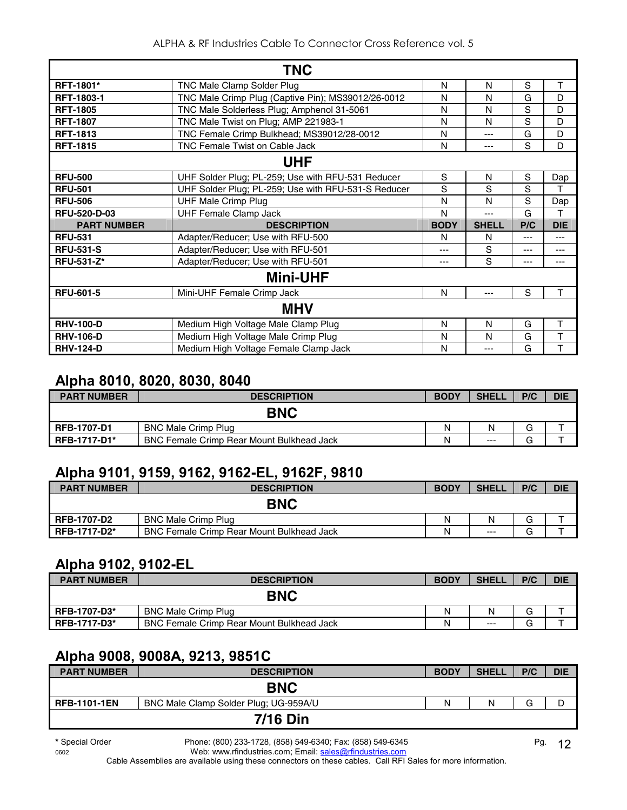|                     | <b>TNC</b>                                          |             |              |     |            |  |  |
|---------------------|-----------------------------------------------------|-------------|--------------|-----|------------|--|--|
| <b>RFT-1801*</b>    | TNC Male Clamp Solder Plug                          | N           | N            | S   | T          |  |  |
| <b>RFT-1803-1</b>   | TNC Male Crimp Plug (Captive Pin); MS39012/26-0012  | N           | N            | G   | D          |  |  |
| <b>RFT-1805</b>     | TNC Male Solderless Plug; Amphenol 31-5061          | N           | N            | S   | D          |  |  |
| <b>RFT-1807</b>     | TNC Male Twist on Plug; AMP 221983-1                | N           | N            | S   | D          |  |  |
| <b>RFT-1813</b>     | TNC Female Crimp Bulkhead; MS39012/28-0012          | N           | ---          | G   | D          |  |  |
| <b>RFT-1815</b>     | <b>TNC Female Twist on Cable Jack</b>               | N           | ---          | S   | D          |  |  |
| <b>UHF</b>          |                                                     |             |              |     |            |  |  |
| <b>RFU-500</b>      | UHF Solder Plug; PL-259; Use with RFU-531 Reducer   | S           | N            | S   | Dap        |  |  |
| <b>RFU-501</b>      | UHF Solder Plug; PL-259; Use with RFU-531-S Reducer | S           | S            | S   |            |  |  |
| <b>RFU-506</b>      | <b>UHF Male Crimp Plug</b>                          | N           | N            | S   | Dap        |  |  |
| <b>RFU-520-D-03</b> | <b>UHF Female Clamp Jack</b>                        | N           | ---          | G   | т          |  |  |
|                     |                                                     |             |              |     |            |  |  |
| <b>PART NUMBER</b>  | <b>DESCRIPTION</b>                                  | <b>BODY</b> | <b>SHELL</b> | P/C | <b>DIE</b> |  |  |
| <b>RFU-531</b>      | Adapter/Reducer; Use with RFU-500                   | N           | N            | --- | ---        |  |  |
| <b>RFU-531-S</b>    | Adapter/Reducer; Use with RFU-501                   | ---         | S            | --- | ---        |  |  |
| <b>RFU-531-Z*</b>   | Adapter/Reducer; Use with RFU-501                   | ---         | S            | --- | ---        |  |  |
|                     | <b>Mini-UHF</b>                                     |             |              |     |            |  |  |
| <b>RFU-601-5</b>    | Mini-UHF Female Crimp Jack                          | N           | ---          | S   | T          |  |  |
|                     | <b>MHV</b>                                          |             |              |     |            |  |  |
| <b>RHV-100-D</b>    | Medium High Voltage Male Clamp Plug                 | N           | N            | G   | T          |  |  |
| <b>RHV-106-D</b>    | Medium High Voltage Male Crimp Plug                 | N           | N            | G   | T          |  |  |

## **Alpha 8010, 8020, 8030, 8040**

| <b>PART NUMBER</b> | <b>DESCRIPTION</b>                               | <b>BODY</b> | <b>SHELL</b> | P/C    | <b>DIE</b> |
|--------------------|--------------------------------------------------|-------------|--------------|--------|------------|
| <b>BNC</b>         |                                                  |             |              |        |            |
| <b>RFB-1707-D1</b> | <b>BNC Male Crimp Plug</b>                       | N           | N            | G      |            |
| RFB-1717-D1*       | <b>BNC Female Crimp Rear Mount Bulkhead Jack</b> | N           | $---$        | ⌒<br>J |            |

## **Alpha 9101, 9159, 9162, 9162-EL, 9162F, 9810**

| <b>PART NUMBER</b>  | <b>DESCRIPTION</b>                               | <b>BODY</b> | <b>SHELL</b> | P/C         | <b>DIE</b> |
|---------------------|--------------------------------------------------|-------------|--------------|-------------|------------|
|                     | <b>BNC</b>                                       |             |              |             |            |
| <b>RFB-1707-D2</b>  | <b>BNC Male Crimp Plug</b>                       | N           |              | G           |            |
| <b>RFB-1717-D2*</b> | <b>BNC Female Crimp Rear Mount Bulkhead Jack</b> | N           | $---$        | $\sim$<br>G |            |

#### **Alpha 9102, 9102-EL**

| <b>PART NUMBER</b>  | <b>DESCRIPTION</b>                               | <b>BODY</b> | <b>SHELL</b> | P/C    | <b>DIE</b> |
|---------------------|--------------------------------------------------|-------------|--------------|--------|------------|
|                     | <b>BNC</b>                                       |             |              |        |            |
| <b>RFB-1707-D3*</b> | <b>BNC Male Crimp Plug</b>                       | N           |              | G      |            |
| <b>RFB-1717-D3*</b> | <b>BNC Female Crimp Rear Mount Bulkhead Jack</b> | N           | $---$        | ⌒<br>G |            |

## **Alpha 9008, 9008A, 9213, 9851C**

| <b>PART NUMBER</b>  | <b>DESCRIPTION</b>                    | <b>BODY</b> | <b>SHELL</b> | P/C | <b>DIE</b> |
|---------------------|---------------------------------------|-------------|--------------|-----|------------|
|                     | <b>BNC</b>                            |             |              |     |            |
| <b>RFB-1101-1EN</b> | BNC Male Clamp Solder Plug; UG-959A/U | Ν           | Ν            | G   | D          |
|                     | <b>7/16 Din</b>                       |             |              |     |            |

**\*** Special Order Phone: (800) 233-1728, (858) 549-6340; Fax: (858) 549-6345 Pg.

0602 Web: www.rfindustries.com; Email: sales@rfindustries.com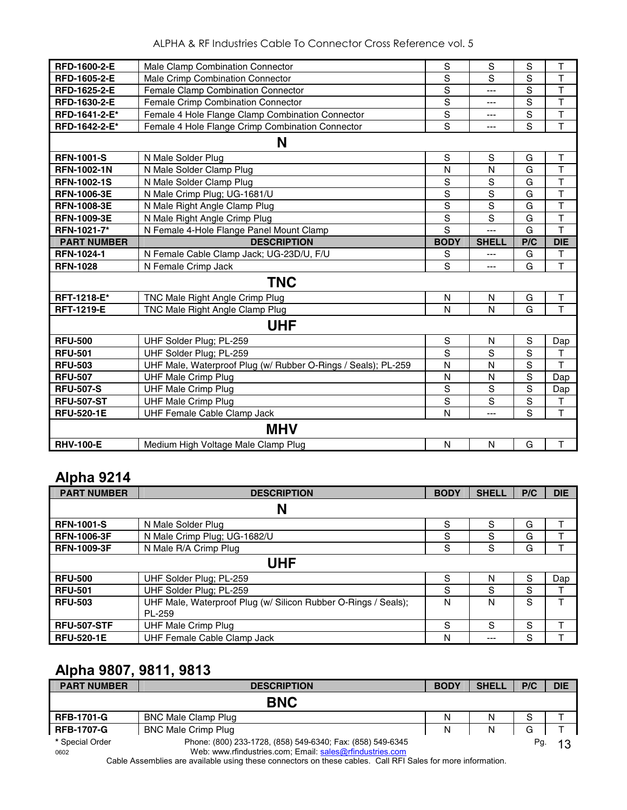| RFD-1600-2-E       | Male Clamp Combination Connector                              | S              | $\mathsf S$  | S              | $\top$                  |
|--------------------|---------------------------------------------------------------|----------------|--------------|----------------|-------------------------|
| RFD-1605-2-E       | Male Crimp Combination Connector                              | S              | S            | $\overline{s}$ | $\mathsf{T}$            |
| RFD-1625-2-E       | Female Clamp Combination Connector                            | $\overline{s}$ | ---          | $\overline{s}$ | $\overline{\mathsf{T}}$ |
| RFD-1630-2-E       | Female Crimp Combination Connector                            | $\mathsf S$    | ---          | S              | $\top$                  |
| RFD-1641-2-E*      | Female 4 Hole Flange Clamp Combination Connector              | S              | ---          | S              | $\overline{\mathsf{T}}$ |
| RFD-1642-2-E*      | Female 4 Hole Flange Crimp Combination Connector              | $\overline{s}$ | ---          | $\overline{s}$ | $\overline{\mathsf{T}}$ |
|                    | N                                                             |                |              |                |                         |
| <b>RFN-1001-S</b>  | N Male Solder Plug                                            | S              | S            | G              | T                       |
| <b>RFN-1002-1N</b> | N Male Solder Clamp Plug                                      | N              | N            | G              | $\overline{\mathsf{T}}$ |
| <b>RFN-1002-1S</b> | N Male Solder Clamp Plug                                      | S              | S            | G              | $\overline{\mathsf{T}}$ |
| <b>RFN-1006-3E</b> | N Male Crimp Plug; UG-1681/U                                  | S              | $\mathsf S$  | G              | $\overline{\mathsf{T}}$ |
| <b>RFN-1008-3E</b> | N Male Right Angle Clamp Plug                                 | $\overline{s}$ | $\mathbf S$  | G              | $\overline{\mathsf{T}}$ |
| <b>RFN-1009-3E</b> | N Male Right Angle Crimp Plug                                 | S              | S            | G              | T                       |
| RFN-1021-7*        | N Female 4-Hole Flange Panel Mount Clamp                      | S              | ---          | G              | $\overline{\mathsf{T}}$ |
| <b>PART NUMBER</b> | <b>DESCRIPTION</b>                                            | <b>BODY</b>    | <b>SHELL</b> | P/C            | <b>DIE</b>              |
| <b>RFN-1024-1</b>  | N Female Cable Clamp Jack; UG-23D/U, F/U                      | S              | ---          | G              | T                       |
| <b>RFN-1028</b>    | N Female Crimp Jack                                           | S              | ---          | G              | $\overline{\mathsf{T}}$ |
|                    | <b>TNC</b>                                                    |                |              |                |                         |
| RFT-1218-E*        | TNC Male Right Angle Crimp Plug                               | $\mathsf{N}$   | N            | G              | $\top$                  |
| <b>RFT-1219-E</b>  | TNC Male Right Angle Clamp Plug                               | N              | N            | G              | $\overline{\mathsf{T}}$ |
|                    | <b>UHF</b>                                                    |                |              |                |                         |
| <b>RFU-500</b>     | UHF Solder Plug; PL-259                                       | $\mathsf S$    | N            | $\mathbf S$    | Dap                     |
| <b>RFU-501</b>     | UHF Solder Plug; PL-259                                       | $\mathbf S$    | S            | $\mathbf S$    | $\mathsf T$             |
| <b>RFU-503</b>     | UHF Male, Waterproof Plug (w/ Rubber O-Rings / Seals); PL-259 | $\mathsf{N}$   | $\mathsf{N}$ | S              | T                       |
| <b>RFU-507</b>     | <b>UHF Male Crimp Plug</b>                                    | N              | N            | $\overline{s}$ | Dap                     |
| <b>RFU-507-S</b>   | <b>UHF Male Crimp Plug</b>                                    | S              | S            | s              | Dap                     |
| <b>RFU-507-ST</b>  | <b>UHF Male Crimp Plug</b>                                    | $\mathsf S$    | $\mathbf S$  | S              | $\mathsf T$             |
| <b>RFU-520-1E</b>  | UHF Female Cable Clamp Jack                                   | N              | ---          | $\overline{s}$ | $\overline{\mathsf{T}}$ |
|                    | <b>MHV</b>                                                    |                |              |                |                         |
|                    |                                                               |                |              |                |                         |

#### **Alpha 9214**

| <b>PART NUMBER</b> | <b>DESCRIPTION</b>                                                       | <b>BODY</b> | <b>SHELL</b> | P/C | <b>DIE</b> |
|--------------------|--------------------------------------------------------------------------|-------------|--------------|-----|------------|
|                    | N                                                                        |             |              |     |            |
| <b>RFN-1001-S</b>  | N Male Solder Plug                                                       | S           | S            | G   |            |
| <b>RFN-1006-3F</b> | N Male Crimp Plug; UG-1682/U                                             | S           | S            | G   | т          |
| <b>RFN-1009-3F</b> | N Male R/A Crimp Plug                                                    | S           | S            | G   | т          |
| UHF                |                                                                          |             |              |     |            |
| <b>RFU-500</b>     | UHF Solder Plug; PL-259                                                  | S           | N            | S   | Dap        |
| <b>RFU-501</b>     | UHF Solder Plug; PL-259                                                  | S           | S            | S   |            |
| <b>RFU-503</b>     | UHF Male, Waterproof Plug (w/ Silicon Rubber O-Rings / Seals);<br>PL-259 | N           | N            | S   | т          |
| <b>RFU-507-STF</b> | UHF Male Crimp Plug                                                      | S           | S            | S   |            |
| <b>RFU-520-1E</b>  | UHF Female Cable Clamp Jack                                              | N           | $---$        | S   |            |

## **Alpha 9807, 9811, 9813**

| <b>PART NUMBER</b> | <b>DESCRIPTION</b>                                                                                                                                                      | <b>BODY</b> | <b>SHELL</b> | P/C | <b>DIE</b> |
|--------------------|-------------------------------------------------------------------------------------------------------------------------------------------------------------------------|-------------|--------------|-----|------------|
|                    | <b>BNC</b>                                                                                                                                                              |             |              |     |            |
| <b>RFB-1701-G</b>  | <b>BNC Male Clamp Plug</b>                                                                                                                                              | N           | N            | S   |            |
| <b>RFB-1707-G</b>  | <b>BNC Male Crimp Plug</b>                                                                                                                                              | Ν           | N            | G   |            |
| * Special Order    | Phone: (800) 233-1728, (858) 549-6340; Fax: (858) 549-6345                                                                                                              |             |              | Pg. | 13         |
| 0602               | Web: www.rfindustries.com; Email: sales@rfindustries.com<br>Cable Assemblies are sualiable using these connections on these sables. Call DELCales for more information. |             |              |     |            |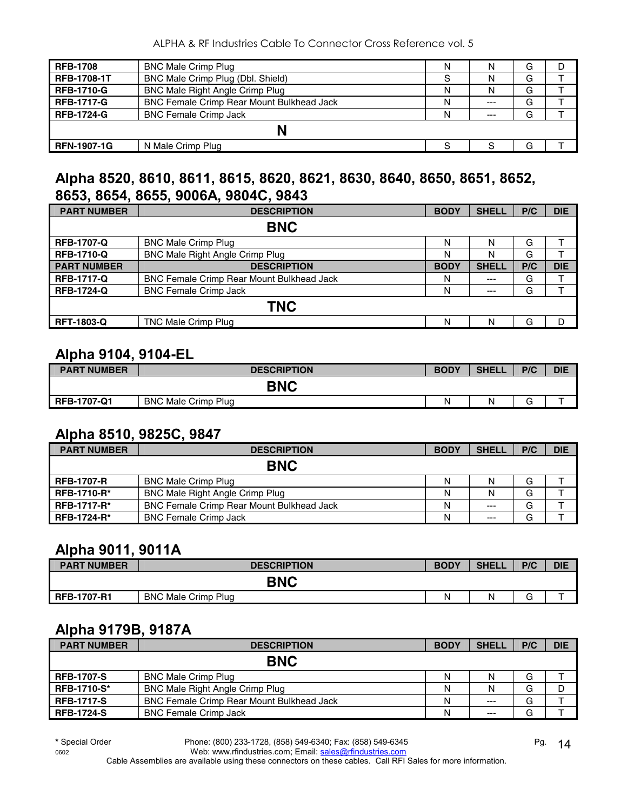| <b>RFB-1708</b>    | <b>BNC Male Crimp Plug</b>                | N | N     | G |  |
|--------------------|-------------------------------------------|---|-------|---|--|
| <b>RFB-1708-1T</b> | BNC Male Crimp Plug (Dbl. Shield)         |   | N     | G |  |
| <b>RFB-1710-G</b>  | <b>BNC Male Right Angle Crimp Plug</b>    | N |       | G |  |
| <b>RFB-1717-G</b>  | BNC Female Crimp Rear Mount Bulkhead Jack | Ν | $--$  | G |  |
| <b>RFB-1724-G</b>  | <b>BNC Female Crimp Jack</b>              | N | $---$ | G |  |
|                    |                                           |   |       |   |  |
| <b>RFN-1907-1G</b> | N Male Crimp Plug                         |   |       | G |  |

#### **Alpha 8520, 8610, 8611, 8615, 8620, 8621, 8630, 8640, 8650, 8651, 8652, 8653, 8654, 8655, 9006A, 9804C, 9843**

| <b>PART NUMBER</b> | <b>DESCRIPTION</b>                               | <b>BODY</b> | <b>SHELL</b> | P/C | <b>DIE</b> |
|--------------------|--------------------------------------------------|-------------|--------------|-----|------------|
| <b>BNC</b>         |                                                  |             |              |     |            |
| <b>RFB-1707-Q</b>  | <b>BNC Male Crimp Plug</b>                       | N           | N            | G   |            |
| <b>RFB-1710-Q</b>  | BNC Male Right Angle Crimp Plug                  | Ν           | N            | G   |            |
| <b>PART NUMBER</b> | <b>DESCRIPTION</b>                               | <b>BODY</b> | <b>SHELL</b> | P/C | <b>DIE</b> |
| <b>RFB-1717-Q</b>  | <b>BNC Female Crimp Rear Mount Bulkhead Jack</b> | N           | $---$        | G   |            |
| <b>RFB-1724-Q</b>  | <b>BNC Female Crimp Jack</b>                     | N           | $---$        | G   |            |
| <b>TNC</b>         |                                                  |             |              |     |            |
| <b>RFT-1803-Q</b>  | TNC Male Crimp Plug                              | N           | N            | G   | D          |

#### **Alpha 9104, 9104-EL**

| <b>PART NUMBER</b> | <b>DESCRIPTION</b>         | <b>BODY</b> | <b>SHELL</b> | P/C          | <b>DIE</b> |
|--------------------|----------------------------|-------------|--------------|--------------|------------|
| BNC                |                            |             |              |              |            |
| <b>RFB-1707-Q1</b> | <b>BNC Male Crimp Plug</b> | Ν           | N            | ⌒<br>п.<br>ٮ | -          |

#### **Alpha 8510, 9825C, 9847**

| <b>PART NUMBER</b> | <b>DESCRIPTION</b>                               | <b>BODY</b> | <b>SHELL</b> | P/C | <b>DIE</b> |
|--------------------|--------------------------------------------------|-------------|--------------|-----|------------|
|                    | <b>BNC</b>                                       |             |              |     |            |
| <b>RFB-1707-R</b>  | <b>BNC Male Crimp Plug</b>                       | N           | N            | G   |            |
| <b>RFB-1710-R*</b> | <b>BNC Male Right Angle Crimp Plug</b>           | N           | Ν            | G   |            |
| <b>RFB-1717-R*</b> | <b>BNC Female Crimp Rear Mount Bulkhead Jack</b> | N           | $---$        | G   |            |
| <b>RFB-1724-R*</b> | <b>BNC Female Crimp Jack</b>                     | Ν           | $---$        | G   |            |

#### **Alpha 9011, 9011A**

| <b>PART NUMBER</b> | <b>DESCRIPTION</b>  | <b>BODY</b> | <b>SHELL</b> | P/C                           | <b>DIE</b> |
|--------------------|---------------------|-------------|--------------|-------------------------------|------------|
| <b>BNC</b>         |                     |             |              |                               |            |
| <b>RFB-1707-R1</b> | BNC Male Crimp Plug | N           |              | $\overline{\phantom{0}}$<br>G |            |

## **Alpha 9179B, 9187A**

| <b>PART NUMBER</b> | <b>DESCRIPTION</b>                               | <b>BODY</b> | <b>SHELL</b> | P/C | <b>DIE</b> |
|--------------------|--------------------------------------------------|-------------|--------------|-----|------------|
|                    | <b>BNC</b>                                       |             |              |     |            |
| <b>RFB-1707-S</b>  | <b>BNC Male Crimp Plug</b>                       | N           | N            | G   |            |
| <b>RFB-1710-S*</b> | <b>BNC Male Right Angle Crimp Plug</b>           | N           | N            | G   | D          |
| <b>RFB-1717-S</b>  | <b>BNC Female Crimp Rear Mount Bulkhead Jack</b> | Ν           | $---$        | G   |            |
| <b>RFB-1724-S</b>  | <b>BNC Female Crimp Jack</b>                     | N           | $---$        | G   |            |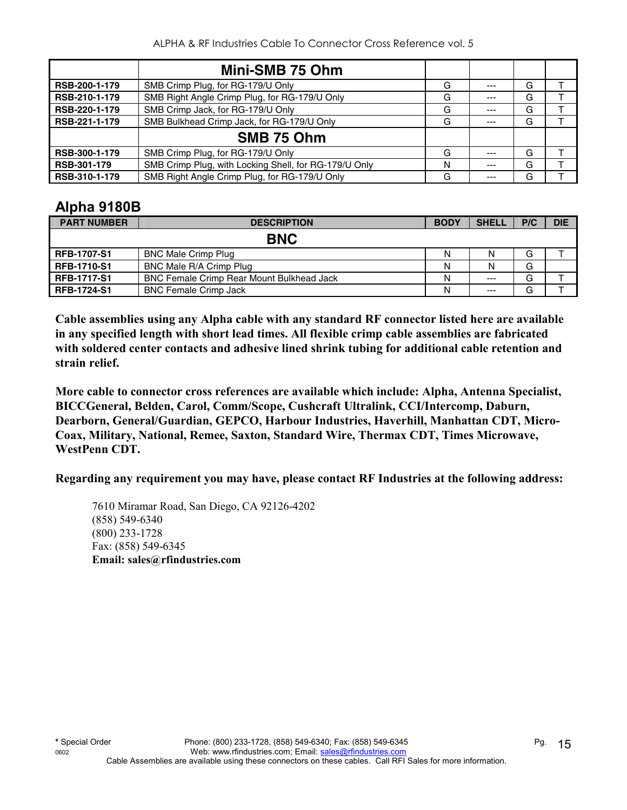|               | Mini-SMB 75 Ohm                                       |   |       |   |  |
|---------------|-------------------------------------------------------|---|-------|---|--|
| RSB-200-1-179 | SMB Crimp Plug, for RG-179/U Only                     | G | $--$  | G |  |
| RSB-210-1-179 | SMB Right Angle Crimp Plug, for RG-179/U Only         | G | $---$ | G |  |
| RSB-220-1-179 | SMB Crimp Jack, for RG-179/U Only                     | G | ---   | G |  |
| RSB-221-1-179 | SMB Bulkhead Crimp Jack, for RG-179/U Only            | G | ---   | G |  |
|               | SMB 75 Ohm                                            |   |       |   |  |
| RSB-300-1-179 | SMB Crimp Plug, for RG-179/U Only                     | G |       | G |  |
| RSB-301-179   | SMB Crimp Plug, with Locking Shell, for RG-179/U Only | N | ---   | G |  |
| RSB-310-1-179 | SMB Right Angle Crimp Plug, for RG-179/U Only         | G | ---   | G |  |

#### **Alpha 9180B**

| <b>PART NUMBER</b> | <b>DESCRIPTION</b>                               | <b>BODY</b> | <b>SHELL</b> | P/C | <b>DIE</b> |
|--------------------|--------------------------------------------------|-------------|--------------|-----|------------|
|                    | <b>BNC</b>                                       |             |              |     |            |
| <b>RFB-1707-S1</b> | <b>BNC Male Crimp Plug</b>                       | N           | N            | G   |            |
| <b>RFB-1710-S1</b> | BNC Male R/A Crimp Plug                          | Ν           | N            | G   |            |
| <b>RFB-1717-S1</b> | <b>BNC Female Crimp Rear Mount Bulkhead Jack</b> | Ν           | $---$        | G   |            |
| <b>RFB-1724-S1</b> | <b>BNC Female Crimp Jack</b>                     | Ν           | $---$        | G   |            |

**Cable assemblies using any Alpha cable with any standard RF connector listed here are available in any specified length with short lead times. All flexible crimp cable assemblies are fabricated with soldered center contacts and adhesive lined shrink tubing for additional cable retention and strain relief.** 

**More cable to connector cross references are available which include: Alpha, Antenna Specialist, BICCGeneral, Belden, Carol, Comm/Scope, Cushcraft Ultralink, CCI/Intercomp, Daburn, Dearborn, General/Guardian, GEPCO, Harbour Industries, Haverhill, Manhattan CDT, Micro-Coax, Military, National, Remee, Saxton, Standard Wire, Thermax CDT, Times Microwave, WestPenn CDT.** 

**Regarding any requirement you may have, please contact RF Industries at the following address:**

7610 Miramar Road, San Diego, CA 92126-4202 (858) 549-6340 (800) 233-1728 Fax: (858) 549-6345  **Email: sales@rfindustries.com**